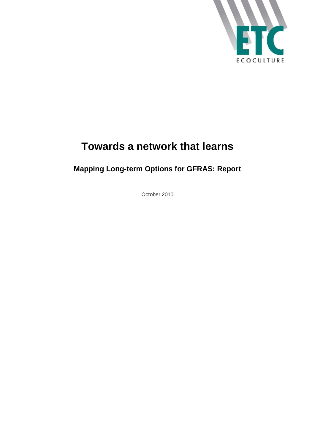

# **Towards a network that learns**

## **Mapping Long-term Options for GFRAS: Report**

October 2010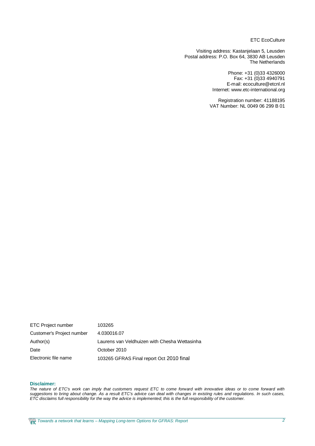ETC EcoCulture

Visiting address: Kastanjelaan 5, Leusden Postal address: P.O. Box 64, 3830 AB Leusden The Netherlands

> Phone: +31 (0)33 4326000 Fax: +31 (0)33 4940791 E-mail: [ecoculture@etcnl.nl](mailto:ecoculture@etcnl.nl) Internet: [www.etc-international.org](http://www.etc-international.org)

Registration number: 41188195 VAT Number: NL 0049 06 299 B 01

ETC Project number 103265 Customer's Project number 4.030016.07 Author(s) Laurens van Veldhuizen with Chesha Wettasinha Date **Date** October 2010 Electronic file name 103265 GFRAS Final report Oct 2010 final

#### **Disclaimer:**

*The nature of ETC's work can imply that customers request ETC to come forward with innovative ideas or to come forward with suggestions to bring about change. As a result ETC's advice can deal with changes in existing rules and regulations. In such cases, ETC disclaims full responsibility for the way the advice is implemented; this is the full responsibility of the customer.*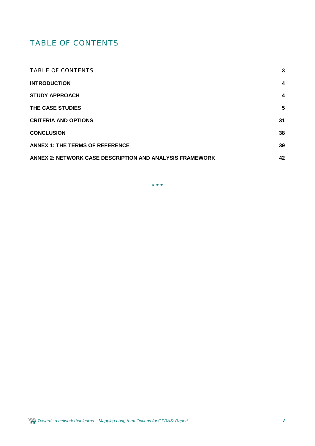## TABLE OF CONTENTS

| <b>TABLE OF CONTENTS</b>                                 | 3  |
|----------------------------------------------------------|----|
| <b>INTRODUCTION</b>                                      | 4  |
| <b>STUDY APPROACH</b>                                    | 4  |
| THE CASE STUDIES                                         | 5  |
| <b>CRITERIA AND OPTIONS</b>                              | 31 |
| <b>CONCLUSION</b>                                        | 38 |
| <b>ANNEX 1: THE TERMS OF REFERENCE</b>                   | 39 |
| ANNEX 2: NETWORK CASE DESCRIPTION AND ANALYSIS FRAMEWORK | 42 |

**\* \* \***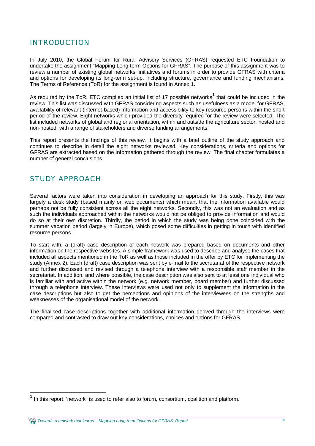## INTRODUCTION

In July 2010, the Global Forum for Rural Advisory Services (GFRAS) requested ETC Foundation to undertake the assignment "Mapping Long-term Options for GFRAS". The purpose of this assignment was to review a number of existing global networks, initiatives and forums in order to provide GFRAS with criteria and options for developing its long-term set-up, including structure, governance and funding mechanisms. The Terms of Reference (ToR) for the assignment is found in Annex 1.

As required by the ToR, ETC compiled an initial list of 17 possible networks<sup>1</sup> that could be included in the review. This list was discussed with GFRAS considering aspects such as usefulness as a model for GFRAS, availability of relevant (internet-based) information and accessibility to key resource persons within the short period of the review. Eight networks which provided the diversity required for the review were selected. The list included networks of global and regional orientation, within and outside the agriculture sector, hosted and non-hosted, with a range of stakeholders and diverse funding arrangements.

This report presents the findings of this review. It begins with a brief outline of the study approach and continues to describe in detail the eight networks reviewed. Key considerations, criteria and options for GFRAS are extracted based on the information gathered through the review. The final chapter formulates a number of general conclusions.

## STUDY APPROACH

Several factors were taken into consideration in developing an approach for this study. Firstly, this was largely a desk study (based mainly on web documents) which meant that the information available would perhaps not be fully consistent across all the eight networks. Secondly, this was not an evaluation and as such the individuals approached within the networks would not be obliged to provide information and would do so at their own discretion. Thirdly, the period in which the study was being done coincided with the summer vacation period (largely in Europe), which posed some difficulties in getting in touch with identified resource persons.

To start with, a (draft) case description of each network was prepared based on documents and other information on the respective websites. A simple framework was used to describe and analyse the cases that included all aspects mentioned in the ToR as well as those included in the offer by ETC for implementing the study (Annex 2). Each (draft) case description was sent by e-mail to the secretariat of the respective network and further discussed and revised through a telephone interview with a responsible staff member in the secretariat. In addition, and where possible, the case description was also sent to at least one individual who is familiar with and active within the network (e.g. network member, board member) and further discussed through a telephone interview. These interviews were used not only to supplement the information in the case descriptions but also to get the perceptions and opinions of the interviewees on the strengths and weaknesses of the organisational model of the network.

The finalised case descriptions together with additional information derived through the interviews were compared and contrasted to draw out key considerations, choices and options for GFRAS.

**<sup>1</sup>** In this report, 'network" is used to refer also to forum, consortium, coalition and platform.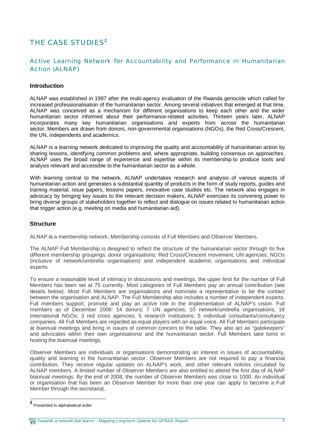## THE CASE STUDIES**<sup>2</sup>**

## Active Learning Network for Accountability and Performance in Humanitarian Action (ALNAP)

#### **Introduction**

ALNAP was established in 1997 after the multi-agency evaluation of the Rwanda genocide which called for increased professionalisation of the humanitarian sector. Among several initiatives that emerged at that time, ALNAP was conceived as a mechanism for different organisations to keep each other and the wider humanitarian sector informed about their performance-related activities. Thirteen years later, ALNAP incorporates many key humanitarian organisations and experts from across the humanitarian sector. Members are drawn from donors, non-governmental organisations (NGOs), the Red Cross/Crescent, the UN, independents and academics.

ALNAP is a learning network dedicated to improving the quality and accountability of humanitarian action by sharing lessons, identifying common problems and, where appropriate, building consensus on approaches. ALNAP uses the broad range of experience and expertise within its membership to produce tools and analysis relevant and accessible to the humanitarian sector as a whole.

With learning central to the network, ALNAP undertakes research and analysis of various aspects of humanitarian action and generates a substantial quantity of products in the form of study reports, guides and training material, issue papers, lessons papers, innovative case studies etc. The network also engages in advocacy by bringing key issues to the relevant decision makers. ALNAP exercises its convening power to bring diverse groups of stakeholders together to reflect and dialogue on issues related to humanitarian action that trigger action (e.g. meeting on media and humanitarian aid).

#### **Structure**

ALNAP is a membership network. Membership consists of Full Members and Observer Members.

The ALNAP Full Membership is designed to reflect the structure of the humanitarian sector through its five different membership groupings: donor organisations; Red Cross/Crescent movement; UN agencies; NGOs (inclusive of network/umbrella organisations) and independent academic organisations and individual experts.

To ensure a reasonable level of intimacy in discussions and meetings, the upper limit for the number of Full Members has been set at 75 currently. Most categories of Full Members pay an annual contribution (see details below). Most Full Members are organisations and nominate a representative to be the contact between the organisation and ALNAP. The Full Membership also includes a number of independent experts. Full members support, promote and play an active role in the implementation of ALNAP's vision. Full members as of December 2008: 14 donors; 7 UN agencies; 10 network/umbrella organisations; 18 International NGOs; 3 red cross agencies; 5 research institutions; 5 individual consultants/consultancy companies. All Full Members are regarded as equal players with an equal voice. All Full Members participate at biannual meetings and bring in issues of common concern to the table. They also act as "gatekeepers" and advocates within their own organisations/ and the humanitarian sector. Full Members take turns in hosting the biannual meetings.

Observer Members are individuals or organisations demonstrating an interest in issues of accountability, quality and learning in the humanitarian sector. Observer Members are not required to pay a financial contribution. They receive regular updates on ALNAP's work, and other relevant notices circulated by ALNAP members. A limited number of Observer Members are also entitled to attend the first day of ALNAP biannual meetings. By the end of 2008, the number of Observer Members was close to 1000. An individual or organisation that has been an Observer Member for more than one year can apply to become a Full Member through the secretariat.

*Towards a network that learns – Mapping Long-term Options for GFRAS: Report 5*

**<sup>2</sup>** Presented in alphabetical order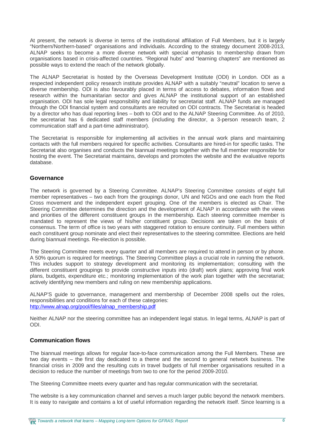At present, the network is diverse in terms of the institutional affiliation of Full Members, but it is largely "Northern/Northern-based" organisations and individuals. According to the strategy document 2008-2013, ALNAP seeks to become a more diverse network with special emphasis to membership drawn from organisations based in crisis-affected countries. "Regional hubs" and "learning chapters" are mentioned as possible ways to extend the reach of the network globally.

The ALNAP Secretariat is hosted by the Overseas Development Institute (ODI) in London. ODI as a respected independent policy research institute provides ALNAP with a suitably "neutral" location to serve a diverse membership. ODI is also favourably placed in terms of access to debates, information flows and research within the humanitarian sector and gives ALNAP the institutional support of an established organisation. ODI has sole legal responsibility and liability for secretariat staff. ALNAP funds are managed through the ODI financial system and consultants are recruited on ODI contracts. The Secretariat is headed by a director who has dual reporting lines – both to ODI and to the ALNAP Steering Committee. As of 2010, the secretariat has 6 dedicated staff members (including the director, a 3-person research team, 2 communication staff and a part-time administrator).

The Secretariat is responsible for implementing all activities in the annual work plans and maintaining contacts with the full members required for specific activities. Consultants are hired-in for specific tasks. The Secretariat also organises and conducts the biannual meetings together with the full member responsible for hosting the event. The Secretariat maintains, develops and promotes the website and the evaluative reports database.

#### **Governance**

The network is governed by a Steering Committee. ALNAP's Steering Committee consists of eight full member representatives – two each from the groupings donor, UN and NGOs and one each from the Red Cross movement and the independent expert grouping. One of the members is elected as Chair. The Steering Committee determines the direction and the development of ALNAP in accordance with the views and priorities of the different constituent groups in the membership. Each steering committee member is mandated to represent the views of his/her constituent group. Decisions are taken on the basis of consensus. The term of office is two years with staggered rotation to ensure continuity. Full members within each constituent group nominate and elect their representatives to the steering committee. Elections are held during biannual meetings. Re-election is possible.

The Steering Committee meets every quarter and all members are required to attend in person or by phone. A 50% quorum is required for meetings. The Steering Committee plays a crucial role in running the network. This includes support to strategy development and monitoring its implementation; consulting with the different constituent groupings to provide constructive inputs into (draft) work plans; approving final work plans, budgets, expenditure etc.; monitoring implementation of the work plan together with the secretariat; actively identifying new members and ruling on new membership applications.

ALNAP'S guide to governance, management and membership of December 2008 spells out the roles, responsibilities and conditions for each of these categories: [http://www.alnap.org/pool/files/alnap\\_membership.pdf](http://www.alnap.org/pool/files/alnap_membership.pdf)

Neither ALNAP nor the steering committee has an independent legal status. In legal terms, ALNAP is part of ODI.

#### **Communication flows**

The biannual meetings allows for regular face-to-face communication among the Full Members. These are two day events – the first day dedicated to a theme and the second to general network business. The financial crisis in 2009 and the resulting cuts in travel budgets of full member organisations resulted in a decision to reduce the number of meetings from two to one for the period 2009-2010.

The Steering Committee meets every quarter and has regular communication with the secretariat.

The website is a key communication channel and serves a much larger public beyond the network members. It is easy to navigate and contains a lot of useful information regarding the network itself. Since learning is a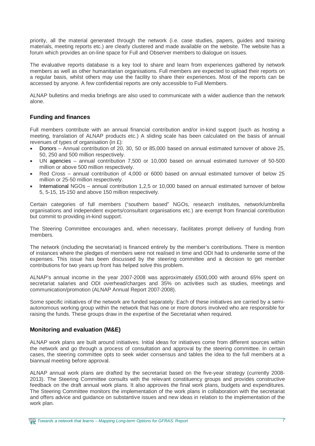priority, all the material generated through the network (i.e. case studies, papers, guides and training materials, meeting reports etc.) are clearly clustered and made available on the website. The website has a forum which provides an on-line space for Full and Observer members to dialogue on issues.

The evaluative reports database is a key tool to share and learn from experiences gathered by network members as well as other humanitarian organisations. Full members are expected to upload their reports on a regular basis, whilst others may use the facility to share their experiences. Most of the reports can be accessed by anyone. A few confidential reports are only accessible to Full Members.

ALNAP bulletins and media briefings are also used to communicate with a wider audience than the network alone.

#### **Funding and finances**

Full members contribute with an annual financial contribution and/or in-kind support (such as hosting a meeting, translation of ALNAP products etc.) A sliding scale has been calculated on the basis of annual revenues of types of organisation (in £):

- Donors Annual contribution of 20, 30, 50 or 85,000 based on annual estimated turnover of above 25, 50, 250 and 500 million respectively.
- UN agencies annual contribution 7,500 or 10,000 based on annual estimated turnover of 50-500 million or above 500 million respectively.
- x Red Cross annual contribution of 4,000 or 6000 based on annual estimated turnover of below 25 million or 25-50 million respectively.
- International NGOs annual contribution 1,2,5 or 10,000 based on annual estimated turnover of below 5, 5-15, 15-150 and above 150 million respectively.

Certain categories of full members ("southern based" NGOs, research institutes, network/umbrella organisations and independent experts/consultant organisations etc.) are exempt from financial contribution but commit to providing in-kind support.

The Steering Committee encourages and, when necessary, facilitates prompt delivery of funding from members.

The network (including the secretariat) is financed entirely by the member's contributions. There is mention of instances where the pledges of members were not realised in time and ODI had to underwrite some of the expenses. This issue has been discussed by the steering committee and a decision to get member contributions for two years up front has helped solve this problem.

ALNAP's annual income in the year 2007-2008 was approximately £500,000 with around 65% spent on secretariat salaries and ODI overhead/charges and 35% on activities such as studies, meetings and communication/promotion (ALNAP Annual Report 2007-2008).

Some specific initiatives of the network are funded separately. Each of these initiatives are carried by a semiautonomous working group within the network that has one or more donors involved who are responsible for raising the funds. These groups draw in the expertise of the Secretariat when required.

#### **Monitoring and evaluation (M&E)**

ALNAP work plans are built around initiatives. Initial ideas for initiatives come from different sources within the network and go through a process of consultation and approval by the steering committee. In certain cases, the steering committee opts to seek wider consensus and tables the idea to the full members at a biannual meeting before approval.

ALNAP annual work plans are drafted by the secretariat based on the five-year strategy (currently 2008- 2013). The Steering Committee consults with the relevant constituency groups and provides constructive feedback on the draft annual work plans. It also approves the final work plans, budgets and expenditures. The Steering Committee monitors the implementation of the work plans in collaboration with the secretariat and offers advice and guidance on substantive issues and new ideas in relation to the implementation of the work plan.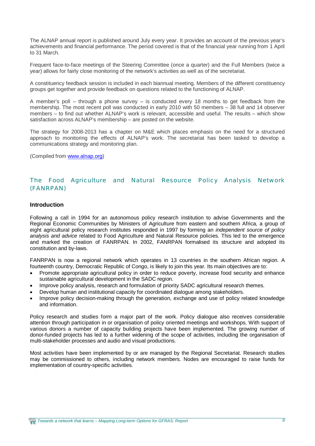The ALNAP annual report is published around July every year. It provides an account of the previous year's achievements and financial performance. The period covered is that of the financial year running from 1 April to 31 March.

Frequent face-to-face meetings of the Steering Committee (once a quarter) and the Full Members (twice a year) allows for fairly close monitoring of the network's activities as well as of the secretariat.

A constituency feedback session is included in each biannual meeting. Members of the different constituency groups get together and provide feedback on questions related to the functioning of ALNAP.

A member's poll – through a phone survey – is conducted every 18 months to get feedback from the membership. The most recent poll was conducted in early 2010 with 50 members – 38 full and 14 observer members – to find out whether ALNAP's work is relevant, accessible and useful. The results – which show satisfaction across ALNAP's membership – are posted on the website.

The strategy for 2008-2013 has a chapter on M&E which places emphasis on the need for a structured approach to monitoring the effects of ALNAP's work. The secretariat has been tasked to develop a communications strategy and monitoring plan.

(Compiled from [www.alnap.org\)](http://www.alnap.org))

### The Food Agriculture and Natural Resource Policy Analysis Network (FANRPAN)

#### **Introduction**

Following a call in 1994 for an autonomous policy research institution to advise Governments and the Regional Economic Communities by Ministers of Agriculture from eastern and southern Africa, a group of eight agricultural policy research institutes responded in 1997 by forming an *independent source of policy analysis and advice* related to Food Agriculture and Natural Resource policies. This led to the emergence and marked the creation of FANRPAN. In 2002, FANRPAN formalised its structure and adopted its constitution and by-laws.

FANRPAN is now a regional network which operates in 13 countries in the southern African region. A fourteenth country, Democratic Republic of Congo, is likely to join this year. Its main objectives are to:

- Promote appropriate agricultural policy in order to reduce poverty, increase food security and enhance sustainable agricultural development in the SADC region.
- Improve policy analysis, research and formulation of priority SADC agricultural research themes.
- Develop human and institutional capacity for coordinated dialogue among stakeholders.
- Improve policy decision-making through the generation, exchange and use of policy related knowledge and information.

Policy research and studies form a major part of the work. Policy dialogue also receives considerable attention through participation in or organisation of policy oriented meetings and workshops. With support of various donors a number of capacity building projects have been implemented. The growing number of donor-funded projects has led to a further widening of the scope of activities, including the organisation of multi-stakeholder processes and audio and visual productions.

Most activities have been implemented by or are managed by the Regional Secretariat. Research studies may be commissioned to others, including network members. Nodes are encouraged to raise funds for implementation of country-specific activities.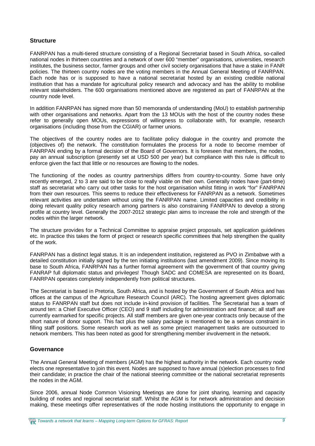#### **Structure**

FANRPAN has a multi-tiered structure consisting of a Regional Secretariat based in South Africa, so-called national nodes in thirteen countries and a network of over 600 "member" organisations, universities, research institutes, the business sector, farmer groups and other civil society organisations that have a stake in FANR policies. The thirteen country nodes are the voting members in the Annual General Meeting of FANRPAN. Each node has or is supposed to have a national secretariat hosted by an existing credible national institution that has a mandate for agricultural policy research and advocacy and has the ability to mobilise relevant stakeholders. The 600 organisations mentioned above are registered as part of FANRPAN at the country node level.

In addition FANRPAN has signed more than 50 memoranda of understanding (MoU) to establish partnership with other organisations and networks. Apart from the 13 MOUs with the host of the country nodes these refer to generally open MOUs, expressions of willingness to collaborate with, for example, research organisations (including those from the CGIAR) or farmer unions.

The objectives of the country nodes are to facilitate policy dialogue in the country and promote the (objectives of) the network. The constitution formulates the process for a node to become member of FANRPAN ending by a formal decision of the Board of Governors. It is foreseen that members, the nodes, pay an annual subscription (presently set at USD 500 per year) but compliance with this rule is difficult to enforce given the fact that little or no resources are flowing to the nodes.

The functioning of the nodes as country partnerships differs from country-to-country. Some have only recently emerged, 2 to 3 are said to be close to really viable on their own. Generally nodes have (part-time) staff as secretariat who carry out other tasks for the host organisation whilst fitting in work "for" FANRPAN from their own resources. This seems to reduce their effectiveness for FANRPAN as a network. Sometimes relevant activities are undertaken without using the FANRPAN name. Limited capacities and credibility in doing relevant quality policy research among partners is also constraining FANRPAN to develop a strong profile at country level. Generally the 2007-2012 strategic plan aims to increase the role and strength of the nodes within the larger network.

The structure provides for a Technical Committee to appraise project proposals, set application guidelines etc. In practice this takes the form of project or research specific committees that help strengthen the quality of the work.

FANRPAN has a distinct legal status. It is an independent institution, registered as PVO in Zimbabwe with a detailed constitution initially signed by the ten initiating institutions (last amendment 2009). Since moving its base to South Africa, FANRPAN has a further formal agreement with the government of that country giving FANRAP full diplomatic status and privileges! Though SADC and COMESA are represented on its Board, FANRPAN operates completely independently from political structures.

The Secretariat is based in Pretoria, South Africa, and is hosted by the Government of South Africa and has offices at the campus of the Agriculture Research Council (ARC). The hosting agreement gives diplomatic status to FANRPAN staff but does not include in-kind provision of facilities. The Secretariat has a team of around ten: a Chief Executive Officer (CEO) and 9 staff including for administration and finance; all staff are currently earmarked for specific projects. All staff members are given one-year contracts only because of the short nature of donor support. This fact plus the salary package is mentioned to be a serious constraint in filling staff positions. Some research work as well as some project management tasks are outsourced to network members. This has been noted as good for strengthening member involvement in the network.

#### **Governance**

The Annual General Meeting of members (AGM) has the highest authority in the network. Each country node elects one representative to join this event. Nodes are supposed to have annual (s)election processes to find their candidate; in practice the chair of the national steering committee or the national secretariat represents the nodes in the AGM.

Since 2006, annual Node Common Visioning Meetings are done for joint sharing, learning and capacity building of nodes and regional secretariat staff. Whilst the AGM is for network administration and decision making, these meetings offer representatives of the node hosting institutions the opportunity to engage in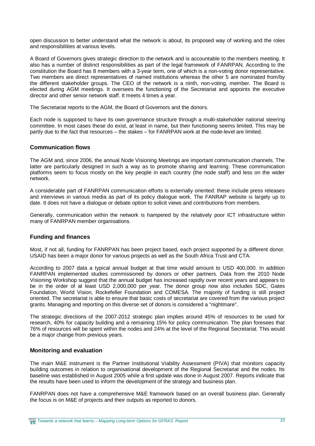open discussion to better understand what the network is about, its proposed way of working and the roles and responsibilities at various levels.

A Board of Governors gives strategic direction to the network and is accountable to the members meeting. It also has a number of distinct responsibilities as part of the legal framework of FANRPAN. According to the constitution the Board has 8 members with a 3-year term, one of which is a non-voting donor representative. Two members are direct representatives of named institutions whereas the other 5 are nominated from/by the different stakeholder groups. The CEO of the network is a ninth, non-voting, member. The Board is elected during AGM meetings. It oversees the functioning of the Secretariat and appoints the executive director and other senior network staff. It meets 4 times a year.

The Secretariat reports to the AGM, the Board of Governors and the donors.

Each node is supposed to have its own governance structure through a multi-stakeholder national steering committee. In most cases these do exist, at least in name, but their functioning seems limited. This may be partly due to the fact that resources – the stakes – for FANRPAN work at the node-level are limited.

#### **Communication flows**

The AGM and, since 2006, the annual Node Visioning Meetings are important communication channels. The latter are particularly designed in such a way as to promote sharing and learning. These communication platforms seem to focus mostly on the key people in each country (the node staff) and less on the wider network.

A considerable part of FANRPAN communication efforts is externally oriented: these include press releases and interviews in various media as part of its policy dialogue work. The FANRAP website is largely up to date. It does not have a dialogue or debate option to solicit views and contributions from members.

Generally, communication within the network is hampered by the relatively poor ICT infrastructure within many of FANRPAN member organisations.

#### **Funding and finances**

Most, if not all, funding for FANRPAN has been project based, each project supported by a different donor. USAID has been a major donor for various projects as well as the South Africa Trust and CTA.

According to 2007 data a typical annual budget at that time would amount to USD 400,000. In addition FANRPAN implemented studies commissioned by donors or other partners. Data from the 2010 Node Visioning Workshop suggest that the annual budget has increased rapidly over recent years and appears to be in the order of at least USD 2,000,000 per year. The donor group now also includes SDC, Gates Foundation, World Vision, Rockefeller Foundation and COMESA. The majority of funding is still project oriented. The secretariat is able to ensure that basic costs of secretariat are covered from the various project grants. Managing and reporting on this diverse set of donors is considered a "nightmare".

The strategic directions of the 2007-2012 strategic plan implies around 45% of resources to be used for research, 40% for capacity building and a remaining 15% for policy communication. The plan foresees that 76% of resources will be spent within the nodes and 24% at the level of the Regional Secretariat. This would be a major change from previous years.

#### **Monitoring and evaluation**

The main M&E instrument is the Partner Institutional Viability Assessment (PIVA) that monitors capacity building outcomes in relation to organisational development of the Regional Secretariat and the nodes. Its baseline was established in August 2005 while a first update was done in August 2007. Reports indicate that the results have been used to inform the development of the strategy and business plan.

FANRPAN does not have a comprehensive M&E framework based on an overall business plan. Generally the focus is on M&E of projects and their outputs as reported to donors.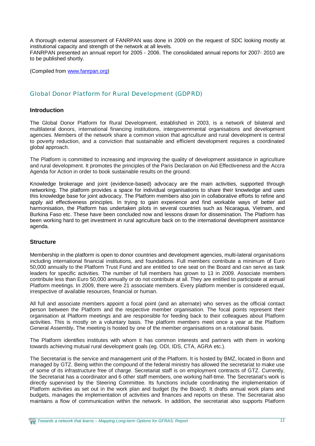A thorough external assessment of FANRPAN was done in 2009 on the request of SDC looking mostly at institutional capacity and strength of the network at all levels. FANRPAN presented an annual report for 2005 - 2006. The consolidated annual reports for 2007- 2010 are to be published shortly.

(Compiled from [www.fanrpan.org\)](http://www.fanrpan.org))

#### Global Donor Platform for Rural Development (GDPRD)

#### **Introduction**

The Global Donor Platform for Rural Development, established in 2003, is a network of bilateral and multilateral donors, international financing institutions, intergovernmental organisations and development agencies. Members of the network share a common vision that agriculture and rural development is central to poverty reduction, and a conviction that sustainable and efficient development requires a coordinated global approach.

The Platform is committed to increasing and improving the quality of development assistance in agriculture and rural development. It promotes the principles of the Paris Declaration on Aid Effectiveness and the Accra Agenda for Action in order to book sustainable results on the ground.

Knowledge brokerage and joint (evidence-based) advocacy are the main activities, supported through networking. The platform provides a space for individual organisations to share their knowledge and uses this knowledge base for joint advocacy. The Platform members also join in collaborative efforts to refine and apply aid effectiveness principles. In trying to gain experience and find workable ways of better aid harmonisation, the Platform has undertaken pilots in several countries such as Nicaragua, Vietnam, and Burkina Faso etc. These have been concluded now and lessons drawn for dissemination. The Platform has been working hard to get investment in rural agriculture back on to the international development assistance agenda.

#### **Structure**

Membership in the platform is open to donor countries and development agencies, multi-lateral organisations including international financial institutions, and foundations. Full members contribute a minimum of Euro 50,000 annually to the Platform Trust Fund and are entitled to one seat on the Board and can serve as task leaders for specific activities. The number of full members has grown to 13 in 2009. Associate members contribute less than Euro 50,000 annually or do not contribute at all. They are entitled to participate at annual Platform meetings. In 2009, there were 21 associate members. Every platform member is considered equal, irrespective of available resources, financial or human.

All full and associate members appoint a focal point (and an alternate) who serves as the official contact person between the Platform and the respective member organisation. The focal points represent their organisation at Platform meetings and are responsible for feeding back to their colleagues about Platform activities. This is mostly on a voluntary basis. The platform members meet once a year at the Platform General Assembly**.** The meeting is hosted by one of the member organisations on a rotational basis.

The Platform identifies institutes with whom it has common interests and partners with them in working towards achieving mutual rural development goals (eg. ODI, IDS, CTA, AGRA etc.).

The Secretariat is the service and management unit of the Platform. It is hosted by BMZ, located in Bonn and managed by GTZ. Being within the compound of the federal ministry has allowed the secretariat to make use of some of its infrastructure free of charge. Secretariat staff is on employment contracts of GTZ. Currently, the Secretariat has a coordinator and 6 other staff members, one working half-time. The Secretariat's work is directly supervised by the Steering Committee. Its functions include coordinating the implementation of Platform activities as set out in the work plan and budget (by the Board). It drafts annual work plans and budgets, manages the implementation of activities and finances and reports on these. The Secretariat also maintains a flow of communication within the network. In addition, the secretariat also supports Platform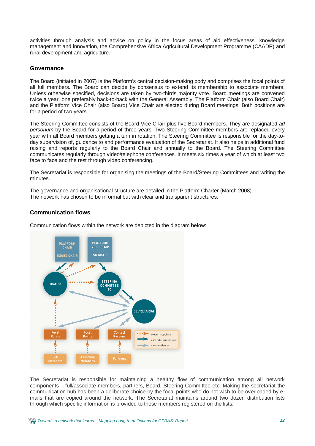activities through analysis and advice on policy in the focus areas of aid effectiveness, knowledge management and innovation, the Comprehensive Africa Agricultural Development Programme (CAADP) and rural development and agriculture.

#### **Governance**

The Board (initiated in 2007) is the Platform's central decision-making body and comprises the focal points of all full members. The Board can decide by consensus to extend its membership to associate members. Unless otherwise specified, decisions are taken by two-thirds majority vote. Board meetings are convened twice a year, one preferably back-to-back with the General Assembly. The Platform Chair (also Board Chair) and the Platform Vice Chair (also Board) Vice Chair are elected during Board meetings. Both positions are for a period of two years.

The Steering Committee consists of the Board Vice Chair plus five Board members. They are designated *ad personum* by the Board for a period of three years. Two Steering Committee members are replaced every year with all Board members getting a turn in rotation. The Steering Committee is responsible for the day-today supervision of, guidance to and performance evaluation of the Secretariat. It also helps in additional fund raising and reports regularly to the Board Chair and annually to the Board. The Steering Committee communicates regularly through video/telephone conferences. It meets six times a year of which at least two face to face and the rest through video conferencing.

The Secretariat is responsible for organising the meetings of the Board/Steering Committees and writing the minutes.

The governance and organisational structure are detailed in the Platform Charter (March 2008). The network has chosen to be informal but with clear and transparent structures.

#### **Communication flows**

Communication flows within the network are depicted in the diagram below:



The Secretariat is responsible for maintaining a healthy flow of communication among all network components – full/associate members, partners, Board, Steering Committee etc. Making the secretariat the communication hub has been a deliberate choice by the focal points who do not wish to be overloaded by emails that are copied around the network. The Secretariat maintains around two dozen distribution lists through which specific information is provided to those members registered on the lists.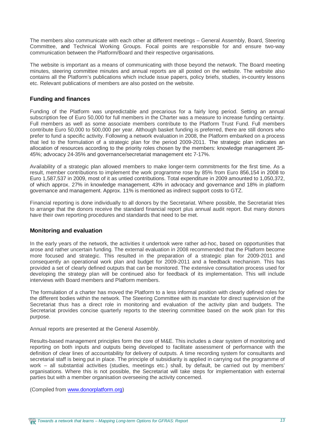The members also communicate with each other at different meetings – General Assembly, Board, Steering Committee, and Technical Working Groups. Focal points are responsible for and ensure two-way communication between the Platform/Board and their respective organisations.

The website is important as a means of communicating with those beyond the network. The Board meeting minutes, steering committee minutes and annual reports are all posted on the website. The website also contains all the Platform's publications which include issue papers, policy briefs, studies, in-country lessons etc. Relevant publications of members are also posted on the website.

#### **Funding and finances**

Funding of the Platform was unpredictable and precarious for a fairly long period. Setting an annual subscription fee of Euro 50,000 for full members in the Charter was a measure to increase funding certainty. Full members as well as some associate members contribute to the Platform Trust Fund. Full members contribute Euro 50,000 to 500,000 per year. Although basket funding is preferred, there are still donors who prefer to fund a specific activity. Following a network evaluation in 2008, the Platform embarked on a process that led to the formulation of a strategic plan for the period 2009-2011. The strategic plan indicates an allocation of resources according to the priority roles chosen by the members: knowledge management 35- 45%; advocacy 24-35% and governance/secretariat management etc 7-17%.

Availability of a strategic plan allowed members to make longer-term commitments for the first time. As a result, member contributions to implement the work programme rose by 85% from Euro 856,154 in 2008 to Euro 1,587,537 in 2009, most of it as untied contributions. Total expenditure in 2009 amounted to 1,050,372, of which approx. 27% in knowledge management, 43% in advocacy and governance and 18% in platform governance and management. Approx. 11% is mentioned as indirect support costs to GTZ.

Financial reporting is done individually to all donors by the Secretariat. Where possible, the Secretariat tries to arrange that the donors receive the standard financial report plus annual audit report. But many donors have their own reporting procedures and standards that need to be met.

#### **Monitoring and evaluation**

In the early years of the network, the activities it undertook were rather ad-hoc, based on opportunities that arose and rather uncertain funding. The external evaluation in 2008 recommended that the Platform become more focused and strategic. This resulted in the preparation of a strategic plan for 2009-2011 and consequently an operational work plan and budget for 2009-2011 and a feedback mechanism. This has provided a set of clearly defined outputs that can be monitored. The extensive consultation process used for developing the strategy plan will be continued also for feedback of its implementation. This will include interviews with Board members and Platform members.

The formulation of a charter has moved the Platform to a less informal position with clearly defined roles for the different bodies within the network. The Steering Committee with its mandate for direct supervision of the Secretariat thus has a direct role in monitoring and evaluation of the activity plan and budgets. The Secretariat provides concise quarterly reports to the steering committee based on the work plan for this purpose.

Annual reports are presented at the General Assembly.

Results-based management principles form the core of M&E. This includes a clear system of monitoring and reporting on both inputs and outputs being developed to facilitate assessment of performance with the definition of clear lines of accountability for delivery of outputs. A time recording system for consultants and secretarial staff is being put in place. The principle of subsidiarity is applied in carrying out the programme of work – all substantial activities (studies, meetings etc.) shall, by default, be carried out by members' organisations. Where this is not possible, the Secretariat will take steps for implementation with external parties but with a member organisation overseeing the activity concerned.

(Compiled from [www.donorplatform.org\)](http://www.donorplatform.org))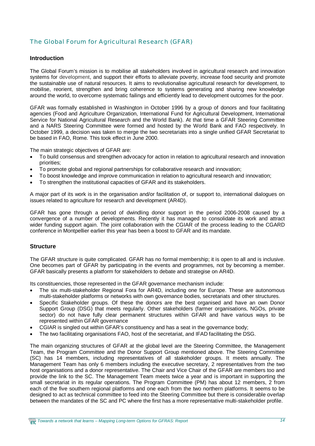## The Global Forum for Agricultural Research (GFAR)

#### **Introduction**

The Global Forum's mission is to mobilise all stakeholders involved in agricultural research and innovation systems for development, and support their efforts to alleviate poverty, increase food security and promote the sustainable use of natural resources. It aims to revolutionalise agricultural research for development, to mobilise, reorient, strengthen and bring coherence to systems generating and sharing new knowledge around the world, to overcome systematic failings and efficiently lead to development outcomes for the poor.

GFAR was formally established in Washington in October 1996 by a group of donors and four facilitating agencies (Food and Agriculture Organization, International Fund for Agricultural Development, International Service for National Agricultural Research and the World Bank). At that time a GFAR Steering Committee and a NARS Steering Committee were formed and hosted by the World Bank and FAO respectively. In October 1999, a decision was taken to merge the two secretariats into a single unified GFAR Secretariat to be based in FAO, Rome. This took effect in June 2000.

The main strategic objectives of GFAR are:

- To build consensus and strengthen advocacy for action in relation to agricultural research and innovation priorities;
- To promote global and regional partnerships for collaborative research and innovation;
- To boost knowledge and improve communication in relation to agricultural research and innovation;
- To strengthen the institutional capacities of GFAR and its stakeholders.

A major part of its work is in the organisation and/or facilitation of, or support to, international dialogues on issues related to agriculture for research and development (AR4D).

GFAR has gone through a period of dwindling donor support in the period 2006-2008 caused by a convergence of a number of developments. Recently it has managed to consolidate its work and attract wider funding support again. The joint collaboration with the CGIAR of the process leading to the CGARD conference in Montpellier earlier this year has been a boost to GFAR and its mandate.

#### **Structure**

The GFAR structure is quite complicated. GFAR has no formal membership; it is open to all and is inclusive. One becomes part of GFAR by participating in the events and programmes, not by becoming a member. GFAR basically presents a platform for stakeholders to debate and strategise on AR4D.

Its constituencies, those represented in the GFAR governance mechanism include:

- The six multi-stakeholder Regional Fora for AR4D, including one for Europe. These are autonomous multi-stakeholder platforms or networks with own governance bodies, secretariats and other structures.
- Specific Stakeholder groups. Of these the donors are the best organised and have an own Donor Support Group (DSG) that meets regularly. Other stakeholders (farmer organisations, NGOs, private sector) do not have fully clear permanent structures within GFAR and have various ways to be represented within GFAR governance
- CGIAR is singled out within GFAR's constituency and has a seat in the governance body;
- The two facilitating organisations FAO, host of the secretariat, and IFAD facilitating the DSG.

The main organizing structures of GFAR at the global level are the Steering Committee, the Management Team, the Program Committee and the Donor Support Group mentioned above. The Steering Committee (SC) has 14 members, including representatives of all stakeholder groups. It meets annually. The Management Team has only 6 members including the executive secretary, 2 representatives from the two host organisations and a donor representative. The Chair and Vice Chair of the GFAR are members too and provide the link to the SC. The Management Team meets twice a year and is important in supporting the small secretariat in its regular operations. The Program Committee (PM) has about 12 members, 2 from each of the five southern regional platforms and one each from the two northern platforms. It seems to be designed to act as technical committee to feed into the Steering Committee but there is considerable overlap between the mandates of the SC and PC where the first has a more representative multi-stakeholder profile.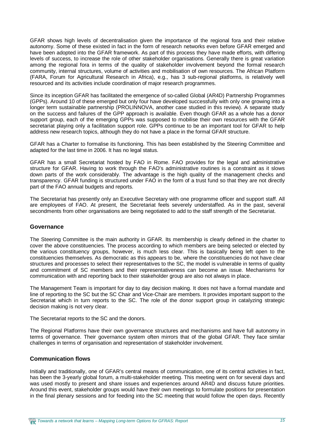GFAR shows high levels of decentralisation given the importance of the regional fora and their relative autonomy. Some of these existed in fact in the form of research networks even before GFAR emerged and have been adopted into the GFAR framework. As part of this process they have made efforts, with differing levels of success, to increase the role of other stakeholder organisations. Generally there is great variation among the regional fora in terms of the quality of stakeholder involvement beyond the formal research community, internal structures, volume of activities and mobilisation of own resources. The African Platform (FARA, Forum for Agricultural Research in Africa), e.g., has 3 sub-regional platforms, is relatively well resourced and its activities include coordination of major research programmes.

Since its inception GFAR has facilitated the emergence of so-called Global (AR4D) Partnership Programmes (GPPs). Around 10 of these emerged but only four have developed successfully with only one growing into a longer term sustainable partnership (PROLINNOVA, another case studied in this review). A separate study on the success and failures of the GPP approach is available. Even though GFAR as a whole has a donor support group, each of the emerging GPPs was supposed to mobilise their own resources with the GFAR secretariat playing only a facilitation support role. GPPs continue to be an important tool for GFAR to help address new research topics, although they do not have a place in the formal GFAR structure.

GFAR has a Charter to formalise its functioning. This has been established by the Steering Committee and adapted for the last time in 2006. It has no legal status.

GFAR has a small Secretariat hosted by FAO in Rome. FAO provides for the legal and administrative structure for GFAR. Having to work through the FAO's administrative routines is a constraint as it slows down parts of the work considerably. The advantage is the high quality of the management checks and transparency. GFAR funding is structured under FAO in the form of a trust fund so that they are not directly part of the FAO annual budgets and reports.

The Secretariat has presently only an Executive Secretary with one programme officer and support staff. All are employees of FAO. At present, the Secretariat feels severely understaffed. As in the past, several secondments from other organisations are being negotiated to add to the staff strength of the Secretariat.

#### **Governance**

The Steering Committee is the main authority in GFAR. Its membership is clearly defined in the charter to cover the above constituencies. The process according to which members are being selected or elected by the various constituency groups, however, is much less clear. This is basically being left open to the constituencies themselves. As democratic as this appears to be, where the constituencies do not have clear structures and processes to select their representatives to the SC, the model is vulnerable in terms of quality and commitment of SC members and their representativeness can become an issue. Mechanisms for communication with and reporting back to their stakeholder group are also not always in place.

The Management Team is important for day to day decision making. It does not have a formal mandate and line of reporting to the SC but the SC Chair and Vice-Chair are members. It provides important support to the Secretariat which in turn reports to the SC. The role of the donor support group in catalyzing strategic decision making is not very clear.

The Secretariat reports to the SC and the donors.

The Regional Platforms have their own governance structures and mechanisms and have full autonomy in terms of governance. Their governance system often mirrors that of the global GFAR. They face similar challenges in terms of organisation and representation of stakeholder involvement.

#### **Communication flows**

Initially and traditionally, one of GFAR's central means of communication, one of its central activities in fact, has been the 3-yearly global forum, a multi-stakeholder meeting. This meeting went on for several days and was used mostly to present and share issues and experiences around AR4D and discuss future priorities. Around this event, stakeholder groups would have their own meetings to formulate positions for presentation in the final plenary sessions and for feeding into the SC meeting that would follow the open days. Recently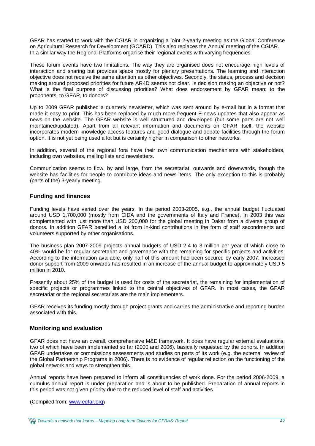GFAR has started to work with the CGIAR in organizing a joint 2-yearly meeting as the Global Conference on Agricultural Research for Development (GCARD). This also replaces the Annual meeting of the CGIAR. In a similar way the Regional Platforms organise their regional events with varying frequencies.

These forum events have two limitations. The way they are organised does not encourage high levels of interaction and sharing but provides space mostly for plenary presentations. The learning and interaction objective does not receive the same attention as other objectives. Secondly, the status, process and decision making around proposed priorities for future AR4D seems not clear. Is decision making an objective or not? What is the final purpose of discussing priorities? What does endorsement by GFAR mean; to the proponents, to GFAR, to donors?

Up to 2009 GFAR published a quarterly newsletter, which was sent around by e-mail but in a format that made it easy to print. This has been replaced by much more frequent E-news updates that also appear as news on the website. The GFAR website is well structured and developed (but some parts are not well maintained/updated). Apart from all relevant information and documents on GFAR itself, the website incorporates modern knowledge access features and good dialogue and debate facilities through the forum option. It is not yet being used a lot but is certainly higher in comparison to other networks.

In addition, several of the regional fora have their own communication mechanisms with stakeholders, including own websites, mailing lists and newsletters.

Communication seems to flow, by and large, from the secretariat, outwards and downwards, though the website has facilities for people to contribute ideas and news items. The only exception to this is probably (parts of the) 3-yearly meeting.

#### **Funding and finances**

Funding levels have varied over the years. In the period 2003-2005, e.g., the annual budget fluctuated around USD 1,700,000 (mostly from CIDA and the governments of Italy and France). In 2003 this was complemented with just more than USD 200,000 for the global meeting in Dakar from a diverse group of donors. In addition GFAR benefited a lot from in-kind contributions in the form of staff secondments and volunteers supported by other organisations.

The business plan 2007-2009 projects annual budgets of USD 2.4 to 3 million per year of which close to 40% would be for regular secretariat and governance with the remaining for specific projects and activities. According to the information available, only half of this amount had been secured by early 2007. Increased donor support from 2009 onwards has resulted in an increase of the annual budget to approximately USD 5 million in 2010.

Presently about 25% of the budget is used for costs of the secretariat, the remaining for implementation of specific projects or programmes linked to the central objectives of GFAR. In most cases, the GFAR secretariat or the regional secretariats are the main implementers.

GFAR receives its funding mostly through project grants and carries the administrative and reporting burden associated with this.

#### **Monitoring and evaluation**

GFAR does not have an overall, comprehensive M&E framework. It does have regular external evaluations, two of which have been implemented so far (2000 and 2006), basically requested by the donors. In addition GFAR undertakes or commissions assessments and studies on parts of its work (e.g. the external review of the Global Partnership Programs in 2006). There is no evidence of regular reflection on the functioning of the global network and ways to strengthen this.

Annual reports have been prepared to inform all constituencies of work done. For the period 2006-2009, a cumulus annual report is under preparation and is about to be published. Preparation of annual reports in this period was not given priority due to the reduced level of staff and activities.

(Compiled from: [www.egfar.org\)](http://www.egfar.org))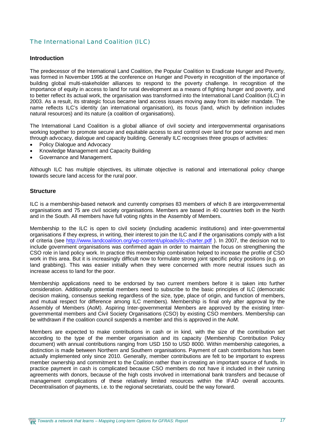### The International Land Coalition (ILC)

#### **Introduction**

The predecessor of the International Land Coalition, the Popular Coalition to Eradicate Hunger and Poverty, was formed in November 1995 at the conference on Hunger and Poverty in recognition of the importance of building global multi-stakeholder alliances to respond to the poverty challenge. In recognition of the importance of equity in access to land for rural development as a means of fighting hunger and poverty, and to better reflect its actual work, the organisation was transformed into the International Land Coalition (ILC) in 2003. As a result, its strategic focus became land access issues moving away from its wider mandate. The name reflects ILC's identity (an international organisation), its focus (land, which by definition includes natural resources) and its nature (a coalition of organisations).

The International Land Coalition is a global alliance of civil society and intergovernmental organisations working together to promote secure and equitable access to and control over land for poor women and men through advocacy, dialogue and capacity building. Generally ILC recognises three groups of activities:

- Policy Dialogue and Advocacy
- x Knowledge Management and Capacity Building
- Governance and Management.

Although ILC has multiple objectives, its ultimate objective is national and international policy change towards secure land access for the rural poor.

#### **Structure**

ILC is *a* membership-based network and currently comprises 83 members of which 8 are intergovernmental organisations and 75 are civil society organisations. Members are based in 40 countries both in the North and in the South. All members have full voting rights in the Assembly of Members.

Membership to the ILC is open to civil society (including academic institutions) and inter-governmental organisations if they express, in writing, their interest to join the ILC and if the organisations comply with a list of criteria (see <http://www.landcoalition.org/wp-content/uploads/ilc-charter.pdf>). In 2007, the decision not to include government organisations was confirmed again in order to maintain the focus on strengthening the CSO role in land policy work. In practice this membership combination helped to increase the profile of CSO work in this area. But it is increasingly difficult now to formulate strong joint specific policy positions (e.g. on land grabbing). This was easier initially when they were concerned with more neutral issues such as increase access to land for the poor.

Membership applications need to be endorsed by two current members before it is taken into further consideration. Additionally potential members need to subscribe to the basic principles of ILC (democratic decision making, consensus seeking regardless of the size, type, place of origin, and function of members, and mutual respect for difference among ILC members). Membership is final only after approval by the Assembly of Members (AoM). Aspiring Inter-governmental Members are approved by the existing Intergovernmental members and Civil Society Organisations (CSO) by existing CSO members. Membership can be withdrawn if the coalition council suspends a member and this is approved in the AoM.

Members are expected to make contributions in cash or in kind, with the size of the contribution set according to the type of the member organisation and its capacity (Membership Contribution Policy document) with annual contributions ranging from USD 150 to USD 8000. Within membership categories, a distinction is made between Northern and Southern organisations. Payment of cash contributions has been actually implemented only since 2010. Generally, member contributions are felt to be important to express member ownership and commitment to the Coalition rather than in creating an important source of funds. In practice payment in cash is complicated because CSO members do not have it included in their running agreements with donors, because of the high costs involved in international bank transfers and because of management complications of these relatively limited resources within the IFAD overall accounts. Decentralisation of payments, i.e. to the regional secretariats, could be the way forward.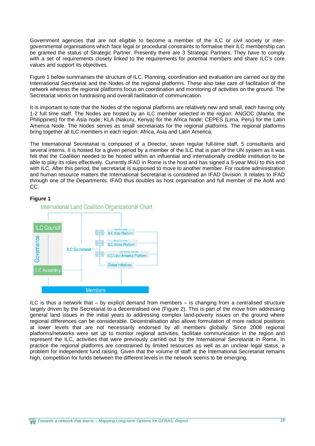Government agencies that are not eligible to become a member of the ILC or civil society or intergovernmental organisations which face legal or procedural constraints to formalise their ILC membership can be granted the status of Strategic Partner. Presently there are 3 Strategic Partners. They have to comply with a set of requirements closely linked to the requirements for potential members and share ILC's core values and support its objectives.

Figure 1 below summarises the structure of ILC. Planning, coordination and evaluation are carried out by the International Secretariat and the Nodes of the regional platforms. These also take care of facilitation of the network whereas the regional platforms focus on coordination and monitoring of activities on the ground. The Secretariat works on fundraising and overall facilitation of communication.

It is important to note that the Nodes of the regional platforms are relatively new and small, each having only 1-2 full time staff. The Nodes are hosted by an ILC member selected in the region: ANGOC (Manila, the Philippines) for the Asia node; KLA (Nakuru, Kenya) for the Africa Node; CEPES (Lima, Peru) for the Latin America Node. The Nodes serves as small secretariats for the regional platforms. The regional platforms bring together all ILC members in each region: Africa, Asia and Latin America.

The International Secretariat is composed of a Director, seven regular full-time staff, 5 consultants and several interns. It is hosted for a given period by a member of the ILC that is part of the UN system as it was felt that the Coalition needed to be hosted within an influential and internationally credible institution to be able to play its roles effectively. Currently IFAD in Rome is the host and has signed a 5-year MoU to this end with ILC. After this period, the secretariat is supposed to move to another member. For routine administration and human resource matters the International Secretariat is considered an IFAD Division. It relates to IFAD through one of the Departments. IFAD thus doubles as host organisation and full member of the AoM and CC.

#### **Figure 1**



ILC is thus a network that – by explicit demand from members – is changing from a centralised structure largely driven by the Secretariat to a decentralised one (Figure 2). This is part of the move from addressing general land issues in the initial years to addressing complex land-poverty issues on the ground where regional differences can be considerable. Decentralisation also allows formulation of more radical positions at lower levels that are not necessarily endorsed by all members globally. Since 2008 regional platforms/networks were set up to monitor regional activities, facilitate communication in the region and represent the ILC, activities that were previously carried out by the International Secretariat in Rome. In practice the regional platforms are constrained by limited resources as well as an unclear legal status, a problem for independent fund raising. Given that the volume of staff at the International Secretariat remains high, competition for funds between the different levels in the network seems to be emerging.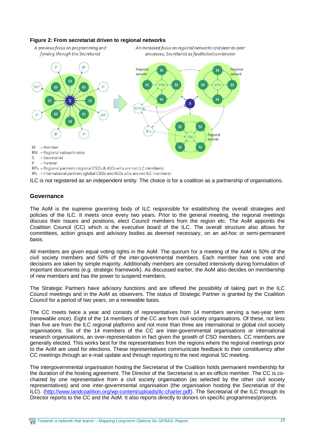

A previous focus on programming and



RPs = Regional partners (regional CSOs & IGOs who are not ILC members)

IPs = International partners (global CSOs and IGOs who are not ILC members)

ILC is not registered as an independent entity. The choice is for a coalition as a partnership of organisations.

An increased focus on regional networks and peer-to-peer

#### **Governance**

The AoM is the supreme governing body of ILC responsible for establishing the overall strategies and policies of the ILC. It meets once every two years. Prior to the general meeting, the regional meetings discuss their issues and positions, elect Council members from the region etc. The AoM appoints the Coalition Council (CC) which is the executive board of the ILC. The overall structure also allows for committees, action groups and advisory bodies as deemed necessary, on an *ad-hoc* or semi-permanent basis.

All members are given equal voting rights in the AoM. The quorum for a meeting of the AoM is 50% of the civil society members and 50% of the inter-governmental members. Each member has one vote and decisions are taken by simple majority. Additionally members are consulted intensively during formulation of important documents (e.g. strategic framework). As discussed earlier, the AoM also decides on membership of new members and has the power to suspend members.

The Strategic Partners have advisory functions and are offered the possibility of taking part in the ILC Council meetings and in the AoM as observers. The status of Strategic Partner is granted by the Coalition Council for a period of two years, on a renewable basis.

The CC meets twice a year and consists of representatives from 14 members serving a two-year term (renewable once). Eight of the 14 members of the CC are from civil society organisations. Of these, not less than five are from the ILC regional platforms and not more than three are international or global civil society organisations. Six of the 14 members of the CC are inter-governmental organisations or international research organisations, an over-representation in fact given the growth of CSO members. CC members are generally elected. This works best for the representatives from the regions where the regional meetings prior to the AoM are used for elections. These representatives communicate feedback to their constituency after CC meetings through an e-mail update and through reporting to the next regional SC meeting.

The intergovernmental organisation hosting the Secretariat of the Coalition holds permanent membership for the duration of the hosting agreement. The Director of the Secretariat is an ex-officio member. The CC is cochaired by one representative from a civil society organisation (as selected by the other civil society representatives) and one inter-governmental organisation (the organisation hosting the Secretariat of the ILC). [\(http://www.landcoalition.org/wp-content/uploads/ilc-charter.pdf\).](http://www.landcoalition.org/wp-content/uploads/ilc-charter.pdf).) The Secretariat of the ILC through its Director reports to the CC and the AoM. It also reports directly to donors on specific programmes/projects.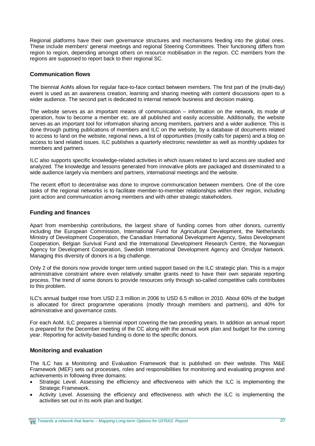Regional platforms have their own governance structures and mechanisms feeding into the global ones. These include members' general meetings and regional Steering Committees. Their functioning differs from region to region, depending amongst others on resource mobilisation in the region. CC members from the regions are supposed to report back to their regional SC.

#### **Communication flows**

The biennial AoMs allows for regular face-to-face contact between members. The first part of the (multi-day) event is used as an awareness creation, learning and sharing meeting with content discussions open to a wider audience. The second part is dedicated to internal network business and decision making.

The website serves as an important means of communication – information on the network, its mode of operation, how to become a member etc. are all published and easily accessible. Additionally, the website serves as an important tool for information sharing among members, partners and a wider audience. This is done through putting publications of members and ILC on the website, by a database of documents related to access to land on the website, regional news, a list of opportunities (mostly calls for papers) and a blog on access to land related issues. ILC publishes a quarterly electronic newsletter as well as monthly updates for members and partners.

ILC also supports specific knowledge-related activities in which issues related to land access are studied and analyzed. The knowledge and lessons generated from innovative pilots are packaged and disseminated to a wide audience largely via members and partners, international meetings and the website.

The recent effort to decentralise was done to improve communication between members. One of the core tasks of the regional networks is to facilitate member-to-member relationships within their region, including joint action and communication among members and with other strategic stakeholders.

#### **Funding and finances**

Apart from membership contributions, the largest share of funding comes from other donors, currently including the European Commission, International Fund for Agricultural Development, the Netherlands Ministry of Development Cooperation, the Canadian International Development Agency, Swiss Development Cooperation, Belgian Survival Fund and the International Development Research Centre, the Norwegian Agency for Development Cooperation, Swedish International Development Agency and Omidyar Network. Managing this diversity of donors is a big challenge.

Only 2 of the donors now provide longer term untied support based on the ILC strategic plan. This is a major administrative constraint where even relatively smaller grants need to have their own separate reporting process. The trend of some donors to provide resources only through so-called competitive calls contributes to this problem.

ILC's annual budget rose from USD 2.3 million in 2006 to USD 6.5 million in 2010. About 60% of the budget is allocated for direct programme operations (mostly through members and partners), and 40% for administrative and governance costs.

For each AoM, ILC prepares a biennial report covering the two preceding years. In addition an annual report is prepared for the December meeting of the CC along with the annual work plan and budget for the coming year. Reporting for activity-based funding is done to the specific donors.

#### **Monitoring and evaluation**

The ILC has a Monitoring and Evaluation Framework that is published on their website. This M&E Framework (MEF) sets out processes, roles and responsibilities for monitoring and evaluating progress and achievements in following three domains:

- Strategic Level. Assessing the efficiency and effectiveness with which the ILC is implementing the Strategic Framework.
- Activity Level. Assessing the efficiency and effectiveness with which the ILC is implementing the activities set out in its work plan and budget.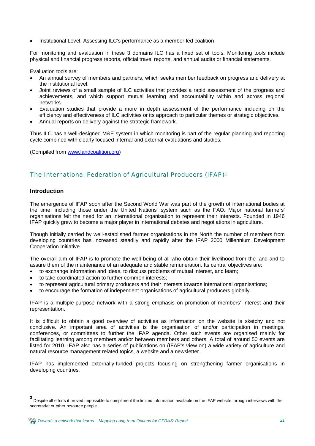Institutional Level. Assessing ILC's performance as a member-led coalition

For monitoring and evaluation in these 3 domains ILC has a fixed set of tools. Monitoring tools include physical and financial progress reports, official travel reports, and annual audits or financial statements.

Evaluation tools are:

- An annual survey of members and partners, which seeks member feedback on progress and delivery at the institutional level.
- Joint reviews of a small sample of ILC activities that provides a rapid assessment of the progress and achievements, and which support mutual learning and accountability within and across regional networks.
- Evaluation studies that provide a more in depth assessment of the performance including on the efficiency and effectiveness of ILC activities or its approach to particular themes or strategic objectives.
- Annual reports on delivery against the strategic framework.

Thus ILC has a well-designed M&E system in which monitoring is part of the regular planning and reporting cycle combined with clearly focused internal and external evaluations and studies.

(Compiled from [www.landcoalition.org\)](http://www.landcoalition.org))

### The International Federation of Agricultural Producers (IFAP)<sup>3</sup>

#### **Introduction**

The emergence of IFAP soon after the Second World War was part of the growth of international bodies at the time, including those under the United Nations' system such as the FAO. Major national farmers' organisations felt the need for an international organisation to represent their interests. Founded in 1946 IFAP quickly grew to become a major player in international debates and negotiations in agriculture.

Though initially carried by well-established farmer organisations in the North the number of members from developing countries has increased steadily and rapidly after the IFAP 2000 Millennium Development Cooperation Initiative.

The overall aim of IFAP is to promote the well being of all who obtain their livelihood from the land and to assure them of the maintenance of an adequate and stable remuneration. Its central objectives are:

- $\bullet$  to exchange information and ideas, to discuss problems of mutual interest, and learn;
- to take coordinated action to further common interests;
- to represent agricultural primary producers and their interests towards international organisations;
- to encourage the formation of independent organisations of agricultural producers globally.

IFAP is a multiple-purpose network with a strong emphasis on promotion of members' interest and their representation.

It is difficult to obtain a good overview of activities as information on the website is sketchy and not conclusive. An important area of activities is the organisation of and/or participation in meetings, conferences, or committees to further the IFAP agenda. Other such events are organised mainly for facilitating learning among members and/or between members and others. A total of around 50 events are listed for 2010. IFAP also has a series of publications on (IFAP's view on) a wide variety of agriculture and natural resource management related topics, a website and a newsletter.

IFAP has implemented externally-funded projects focusing on strengthening farmer organisations in developing countries.

*Towards a network that learns – Mapping Long-term Options for GFRAS: Report 21*

**<sup>3</sup>** Despite all efforts it proved impossible to compliment the limited information available on the IFAP website through interviews with the secretariat or other resource people.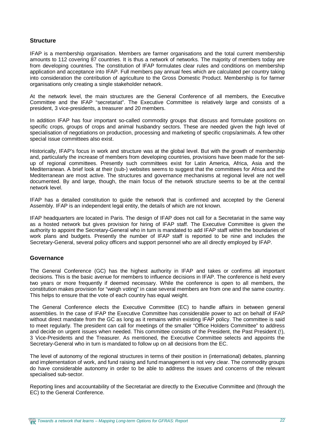#### **Structure**

IFAP is a membership organisation. Members are farmer organisations and the total current membership amounts to 112 covering 87 countries. It is thus a network of networks. The majority of members today are from developing countries. The constitution of IFAP formulates clear rules and conditions on membership application and acceptance into IFAP. Full members pay annual fees which are calculated per country taking into consideration the contribution of agriculture to the Gross Domestic Product. Membership is for farmer organisations only creating a single stakeholder network.

At the network level, the main structures are the General Conference of all members, the Executive Committee and the IFAP "secretariat". The Executive Committee is relatively large and consists of a president, 3 vice-presidents, a treasurer and 20 members.

In addition IFAP has four important so-called commodity groups that discuss and formulate positions on specific crops, groups of crops and animal husbandry sectors. These are needed given the high level of specialisation of negotiations on production, processing and marketing of specific crops/animals. A few other special issue committees also exist.

Historically, IFAP's focus in work and structure was at the global level. But with the growth of membership and, particularly the increase of members from developing countries, provisions have been made for the setup of regional committees. Presently such committees exist for Latin America, Africa, Asia and the Mediterranean. A brief look at their (sub-) websites seems to suggest that the committees for Africa and the Mediterranean are most active. The structures and governance mechanisms at regional level are not well documented. By and large, though, the main focus of the network structure seems to be at the central network level.

IFAP has a detailed constitution to guide the network that is confirmed and accepted by the General Assembly. IFAP is an independent legal entity, the details of which are not known.

IFAP headquarters are located in Paris. The design of IFAP does not call for a Secretariat in the same way as a hosted network but gives provision for hiring of IFAP staff. The Executive Committee is given the authority to appoint the Secretary-General who in turn is mandated to add IFAP staff within the boundaries of work plans and budgets. Presently the number of IFAP staff is reported to be nine and includes the Secretary-General, several policy officers and support personnel who are all directly employed by IFAP.

#### **Governance**

The General Conference (GC) has the highest authority in IFAP and takes or confirms all important decisions. This is the basic avenue for members to influence decisions in IFAP. The conference is held every two years or more frequently if deemed necessary. While the conference is open to all members, the constitution makes provision for "weigh voting" in case several members are from one and the same country. This helps to ensure that the vote of each country has equal weight.

The General Conference elects the Executive Committee (EC) to handle affairs in between general assemblies. In the case of IFAP the Executive Committee has considerable power to act on behalf of IFAP without direct mandate from the GC as long as it remains within existing IFAP policy. The committee is said to meet regularly. The president can call for meetings of the smaller "Office Holders Committee" to address and decide on urgent issues when needed. This committee consists of the President, the Past President (!), 3 Vice-Presidents and the Treasurer. As mentioned, the Executive Committee selects and appoints the Secretary-General who in turn is mandated to follow up on all decisions from the EC.

The level of autonomy of the regional structures in terms of their position in (international) debates, planning and implementation of work, and fund raising and fund management is not very clear. The commodity groups do have considerable autonomy in order to be able to address the issues and concerns of the relevant specialised sub-sector.

Reporting lines and accountability of the Secretariat are directly to the Executive Committee and (through the EC) to the General Conference.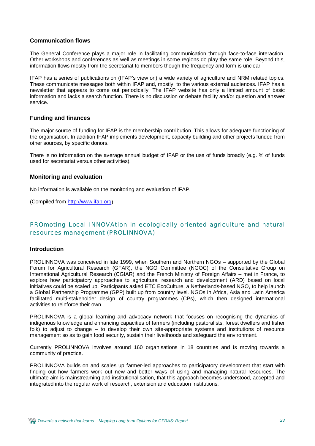#### **Communication flows**

The General Conference plays a major role in facilitating communication through face-to-face interaction. Other workshops and conferences as well as meetings in some regions do play the same role. Beyond this, information flows mostly from the secretariat to members though the frequency and form is unclear.

IFAP has a series of publications on (IFAP's view on) a wide variety of agriculture and NRM related topics. These communicate messages both within IFAP and, mostly, to the various external audiences. IFAP has a newsletter that appears to come out periodically. The IFAP website has only a limited amount of basic information and lacks a search function. There is no discussion or debate facility and/or question and answer service.

#### **Funding and finances**

The major source of funding for IFAP is the membership contribution. This allows for adequate functioning of the organisation. In addition IFAP implements development, capacity building and other projects funded from other sources, by specific donors.

There is no information on the average annual budget of IFAP or the use of funds broadly (e.g. % of funds used for secretariat versus other activities).

#### **Monitoring and evaluation**

No information is available on the monitoring and evaluation of IFAP.

(Compiled from [http://www.ifap.org\)](http://www.ifap.org))

## PROmoting Local INNOVAtion in ecologically oriented agriculture and natural resources management (PROLINNOVA)

#### **Introduction**

PROLINNOVA was conceived in late 1999, when Southern and Northern NGOs – supported by the Global Forum for Agricultural Research (GFAR), the NGO Committee (NGOC) of the Consultative Group on International Agricultural Research (CGIAR) and the French Ministry of Foreign Affairs – met in France, to explore how participatory approaches to agricultural research and development (ARD) based on local initiatives could be scaled up. Participants asked ETC EcoCulture, a Netherlands-based NGO, to help launch a Global Partnership Programme (GPP) built up from country level. NGOs in Africa, Asia and Latin America facilitated multi-stakeholder design of country programmes (CPs), which then designed international activities to reinforce their own.

PROLINNOVA is a global learning and advocacy network that focuses on recognising the dynamics of indigenous knowledge and enhancing capacities of farmers (including pastoralists, forest dwellers and fisher folk) to adjust to change – to develop their own site-appropriate systems and institutions of resource management so as to gain food security, sustain their livelihoods and safeguard the environment.

Currently PROLINNOVA involves around 160 organisations in 18 countries and is moving towards a community of practice.

PROLINNOVA builds on and scales up farmer-led approaches to participatory development that start with finding out how farmers work out new and better ways of using and managing natural resources. The ultimate aim is mainstreaming and institutionalisation, that this approach becomes understood, accepted and integrated into the regular work of research, extension and education institutions.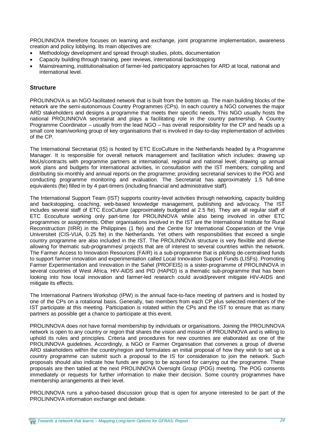PROLINNOVA therefore focuses on learning and exchange, joint programme implementation, awareness creation and policy lobbying. Its main objectives are:

- Methodology development and spread through studies, pilots, documentation
- Capacity building through training, peer reviews, international backstopping
- Mainstreaming, institutionalisation of farmer-led participatory approaches for ARD at local, national and international level.

#### **Structure**

PROLINNOVA is an NGO-facilitated network that is built from the bottom up. The main building blocks of the network are the semi-autonomous Country Programmes (CPs). In each country a NGO convenes the major ARD stakeholders and designs a programme that meets their specific needs. This NGO usually hosts the national PROLINNOVA secretariat and plays a facilitating role in the country partnership. A Country Programme Coordinator – usually from the lead NGO – has overall responsibility for the CP and heads up a small core team/working group of key organisations that is involved in day-to-day implementation of activities of the CP.

The International Secretariat (IS) is hosted by ETC EcoCulture in the Netherlands headed by a Programme Manager. It is responsible for overall network management and facilitation which includes: drawing up MoUs/contracts with programme partners at international, regional and national level; drawing up annual work plans and budgets for international activities, in consultation with the IST members; compiling and distributing six-monthly and annual reports on the programme; providing secretarial services to the POG and conducting programme monitoring and evaluation. The Secretariat has approximately 1.5 full-time equivalents (fte) filled in by 4 part-timers (including financial and administrative staff).

The International Support Team (IST) supports country-level activities through networking, capacity building and backstopping, coaching, web-based knowledge management, publishing and advocacy. The IST includes several staff of ETC EcoCulture (approximately budgeted at 2.5 fte). They are all regular staff of ETC Ecoculture working only part-time for PROLINNOVA while also being involved in other ETC programmes or assignments. Other organisations involved in the IST are the International Institute for Rural Reconstruction (IIRR) in the Philippines (1 fte) and the Centre for International Cooperation of the Vrije Universiteit (CIS-VUA, 0.25 fte) in the Netherlands. Yet others with responsibilities that exceed a single country programme are also included in the IST. The PROLINNOVA structure is very flexible and diverse allowing for thematic sub-programmes/ projects that are of interest to several countries within the network. The Farmer Access to Innovation Resources (FAIR) is a sub-programme that is piloting de-centralised funds to support farmer innovation and experimentation called Local Innovation Support Funds (LISFs). Promoting Farmer Experimentation and Innovation in the Sahel (PROFEIS) is a sister-programme of PROLINNOVA in several countries of West Africa. HIV-AIDS and PID (HAPID) is a thematic sub-programme that has been looking into how local innovation and farmer-led research could avoid/prevent mitigate HIV-AIDS and mitigate its effects.

The International Partners Workshop (IPW) is the annual face-to-face meeting of partners and is hosted by one of the CPs on a rotational basis. Generally, two members from each CP plus selected members of the IST participate at this meeting. Participation is rotated within the CPs and the IST to ensure that as many partners as possible get a chance to participate at this event.

PROLINNOVA does not have formal membership by individuals or organisations. Joining the PROLINNOVA network is open to any country or region that shares the vision and mission of PROLINNOVA and is willing to uphold its rules and principles. Criteria and procedures for new countries are elaborated as one of the PROLINNOVA guidelines. Accordingly, a NGO or Farmer Organisation that convenes a group of diverse ARD stakeholders within the country/region and formulates an initial proposal of how they wish to set up a country programme can submit such a proposal to the IS for consideration to join the network. Such proposals should also indicate how funds are going to be acquired for carrying out the programme. These proposals are then tabled at the next PROLINNOVA Oversight Group (POG) meeting. The POG consents immediately or requests for further information to make their decision. Some country programmes have membership arrangements at their level.

PROLINNOVA runs a yahoo-based discussion group that is open for anyone interested to be part of the PROLINNOVA information exchange and debate.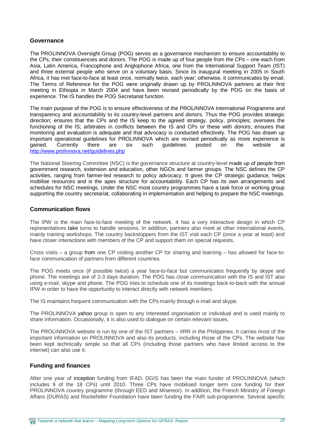#### **Governance**

The PROLINNOVA Oversight Group (POG) serves as a governance mechanism to ensure accountability to the CPs, their constituencies and donors. The POG is made up of four people from the CPs – one each from Asia, Latin America, Francophone and Anglophone Africa, one from the International Support Team (IST) and three external people who serve on a voluntary basis. Since its inaugural meeting in 2005 in South Africa, it has met face-to-face at least once, normally twice, each year; otherwise, it communicates by email. The Terms of Reference for the POG were originally drawn up by PROLINNOVA partners at their first meeting in Ethiopia in March 2004 and have been revised periodically by the POG on the basis of experience. The IS handles the POG Secretariat function.

The main purpose of the POG is to ensure effectiveness of the PROLINNOVA International Programme and transparency and accountability to its country-level partners and donors. Thus the POG provides strategic direction; ensures that the CPs and the IS keep to the agreed strategy, policy, principles; oversees the functioning of the IS; arbitrates in conflicts between the IS and CPs or these with donors; ensures that monitoring and evaluation is adequate and that advocacy is conducted effectively. The POG has drawn up important operational guidelines for PROLINNOVA which are revised periodically as more experience is gained. Currently there are six such guidelines posted on the website at <http://www.prolinnova.net/guidelines.php>

The National Steering Committee (NSC) is the governance structure at country-level made up of people from government research, extension and education, other NGOs and farmer groups. The NSC defines the CP activities, ranging from farmer-led research to policy advocacy. It gives the CP strategic guidance, helps mobilise resources and is the apex structure for accountability. Each CP has its own arrangements and schedules for NSC meetings. Under the NSC most country programmes have a task force or working group supporting the country secretariat, collaborating in implementation and helping to prepare the NSC meetings.

#### **Communication flows**

The IPW is the main face-to-face meeting of the network. It has a very interactive design in which CP representatives take turns to handle sessions. In addition, partners also meet at other international events, mainly training workshops. The country backstoppers from the IST visit each CP (once a year at least) and have closer interactions with members of the CP and support them on special requests.

Cross visits – a group from one CP visiting another CP for sharing and learning – has allowed for face-toface communication of partners from different countries.

The POG meets once (if possible twice) a year face-to-face but communicates frequently by skype and phone. The meetings are of 2-3 days duration. The POG has close communication with the IS and IST also using e-mail, skype and phone. The POG tries to schedule one of its meetings back-to-back with the annual IPW in order to have the opportunity to interact directly with network members.

The IS maintains frequent communication with the CPs mainly through e-mail and skype.

The PROLINNOVA yahoo group is open to any interested organisation or individual and is used mainly to share information. Occasionally, it is also used to dialogue on certain relevant issues.

The PROLINNOVA website is run by one of the IST partners – IIRR in the Philippines. It carries most of the important information on PROLINNOVA and also its products, including those of the CPs. The website has been kept technically simple so that all CPs (including those partners who have limited access to the internet) can also use it.

#### **Funding and finances**

After one year of inception funding from IFAD, DGIS has been the main funder of PROLINNOVA (which includes 9 of the 18 CPs) until 2010. Three CPs have mobilised longer term core funding for their PROLINNOVA country programme (through EED and Misereor). In addition, the French Ministry of Foreign Affairs (DURAS) and Rockefeller Foundation have been funding the FAIR sub-programme. Several specific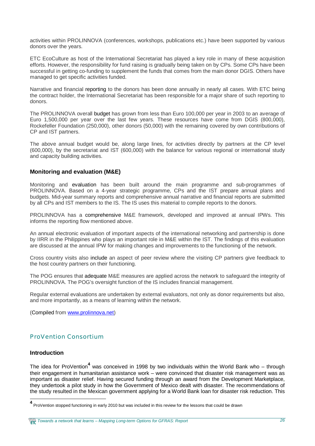activities within PROLINNOVA (conferences, workshops, publications etc.) have been supported by various donors over the years.

ETC EcoCulture as host of the International Secretariat has played a key role in many of these acquisition efforts. However, the responsibility for fund raising is gradually being taken on by CPs. Some CPs have been successful in getting co-funding to supplement the funds that comes from the main donor DGIS. Others have managed to get specific activities funded.

Narrative and financial reporting to the donors has been done annually in nearly all cases. With ETC being the contract holder, the International Secretariat has been responsible for a major share of such reporting to donors.

The PROLINNOVA overall budget has grown from less than Euro 100,000 per year in 2003 to an average of Euro 1,500,000 per year over the last few years. These resources have come from DGIS (800,000), Rockefeller Foundation (250,000), other donors (50,000) with the remaining covered by own contributions of CP and IST partners.

The above annual budget would be, along large lines, for activities directly by partners at the CP level (600,000), by the secretariat and IST (600,000) with the balance for various regional or international study and capacity building activities.

#### **Monitoring and evaluation (M&E)**

Monitoring and evaluation has been built around the main programme and sub-programmes of PROLINNOVA. Based on a 4-year strategic programme, CPs and the IST prepare annual plans and budgets. Mid-year summary reports and comprehensive annual narrative and financial reports are submitted by all CPs and IST members to the IS. The IS uses this material to compile reports to the donors.

PROLINNOVA has a comprehensive M&E framework, developed and improved at annual IPWs. This informs the reporting flow mentioned above.

An annual electronic evaluation of important aspects of the international networking and partnership is done by IIRR in the Philippines who plays an important role in M&E within the IST. The findings of this evaluation are discussed at the annual IPW for making changes and improvements to the functioning of the network.

Cross country visits also include an aspect of peer review where the visiting CP partners give feedback to the host country partners on their functioning.

The POG ensures that adequate M&E measures are applied across the network to safeguard the integrity of PROLINNOVA. The POG's oversight function of the IS includes financial management.

Regular external evaluations are undertaken by external evaluators, not only as donor requirements but also, and more importantly, as a means of learning within the network.

(Compiled from [www.prolinnova.net\)](http://www.prolinnova.net))

### ProVention Consortium

#### **Introduction**

The idea for ProVention<sup>4</sup> was conceived in 1998 by two individuals within the World Bank who – through their engagement in humanitarian assistance work – were convinced that disaster risk management was as important as disaster relief. Having secured funding through an award from the Development Marketplace, they undertook a pilot study in how the Government of Mexico dealt with disaster. The recommendations of the study resulted in the Mexican government applying for a World Bank loan for disaster risk reduction. This

**<sup>4</sup>** ProVention stopped functioning in early 2010 but was included in this review for the lessons that could be drawn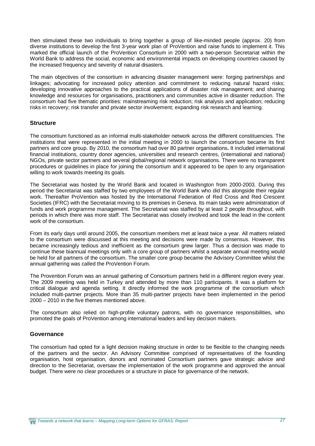then stimulated these two individuals to bring together a group of like-minded people (approx. 20) from diverse institutions to develop the first 3-year work plan of ProVention and raise funds to implement it. This marked the official launch of the ProVention Consortium in 2000 with a two-person Secretariat within the World Bank to address the social, economic and environmental impacts on developing countries caused by the increased frequency and severity of natural disasters.

The main objectives of the consortium in advancing disaster management were: forging partnerships and linkages; advocating for increased policy attention and commitment to reducing natural hazard risks; developing innovative approaches to the practical applications of disaster risk management; and sharing knowledge and resources for organisations, practitioners and communities active in disaster reduction. The consortium had five thematic priorities: mainstreaming risk reduction; risk analysis and application; reducing risks in recovery; risk transfer and private sector involvement; expanding risk research and learning.

#### **Structure**

The consortium functioned as an informal multi-stakeholder network across the different constituencies. The institutions that were represented in the initial meeting in 2000 to launch the consortium became its first partners and core group. By 2010, the consortium had over 80 partner organisations**.** It included international financial institutions, country donor agencies, universities and research centres, (international and national) NGOs, private sector partners and several global/regional network organisations. There were no transparent procedures or guidelines in place for joining the consortium and it appeared to be open to any organisation willing to work towards meeting its goals.

The Secretariat was hosted by the World Bank and located in Washington from 2000-2003. During this period the Secretariat was staffed by two employees of the World Bank who did this alongside their regular work. Thereafter ProVention was hosted by the International Federation of Red Cross and Red Crescent Societies (IFRC) with the Secretariat moving to its premises in Geneva. Its main tasks were administration of funds and work programme management. The Secretariat was staffed by at least 2 people throughout, with periods in which there was more staff. The Secretariat was closely involved and took the lead in the content work of the consortium.

From its early days until around 2005, the consortium members met at least twice a year. All matters related to the consortium were discussed at this meeting and decisions were made by consensus. However, this became increasingly tedious and inefficient as the consortium grew larger. Thus a decision was made to continue these biannual meetings only with a core group of partners whilst a separate annual meeting would be held for all partners of the consortium. The smaller core group became the Advisory Committee whilst the annual gathering was called the ProVention Forum.

The Provention Forum was an annual gathering of Consortium partners held in a different region every year. The 2009 meeting was held in Turkey and attended by more than 110 participants. It was a platform for critical dialogue and agenda setting. It directly informed the work programme of the consortium which included multi-partner projects. More than 35 multi-partner projects have been implemented in the period 2000 – 2010 in the five themes mentioned above.

The consortium also relied on high-profile voluntary patrons, with no governance responsibilities, who promoted the goals of ProVention among international leaders and key decision makers.

#### **Governance**

The consortium had opted for a light decision making structure in order to be flexible to the changing needs of the partners and the sector. An Advisory Committee comprised of representatives of the founding organisation, host organisation, donors and nominated Consortium partners gave strategic advice and direction to the Secretariat, oversaw the implementation of the work programme and approved the annual budget. There were no clear procedures or a structure in place for governance of the network.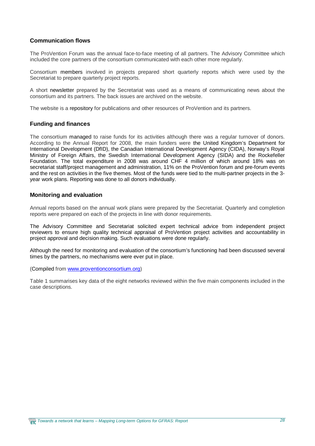#### **Communication flows**

The ProVention Forum was the annual face-to-face meeting of all partners. The Advisory Committee which included the core partners of the consortium communicated with each other more regularly.

Consortium members involved in projects prepared short quarterly reports which were used by the Secretariat to prepare quarterly project reports.

A short newsletter prepared by the Secretariat was used as a means of communicating news about the consortium and its partners. The back issues are archived on the website.

The website is a repository for publications and other resources of ProVention and its partners.

#### **Funding and finances**

The consortium managed to raise funds for its activities although there was a regular turnover of donors. According to the Annual Report for 2008, the main funders were the United Kingdom's Department for International Development (DfID), the Canadian International Development Agency (CIDA), Norway's Royal Ministry of Foreign Affairs, the Swedish International Development Agency (SIDA) and the Rockefeller Foundation. The total expenditure in 2008 was around CHF 4 million of which around 18% was on secretariat staff/project management and administration, 11% on the ProVention forum and pre-forum events and the rest on activities in the five themes. Most of the funds were tied to the multi-partner projects in the 3 year work plans. Reporting was done to all donors individually.

#### **Monitoring and evaluation**

Annual reports based on the annual work plans were prepared by the Secretariat. Quarterly and completion reports were prepared on each of the projects in line with donor requirements.

The Advisory Committee and Secretariat solicited expert technical advice from independent project reviewers to ensure high quality technical appraisal of ProVention project activities and accountability in project approval and decision making. Such evaluations were done regularly.

Although the need for monitoring and evaluation of the consortium's functioning had been discussed several times by the partners, no mechanisms were ever put in place.

#### (Compiled from [www.proventionconsortium.org\)](http://www.proventionconsortium.org))

Table 1 summarises key data of the eight networks reviewed within the five main components included in the case descriptions.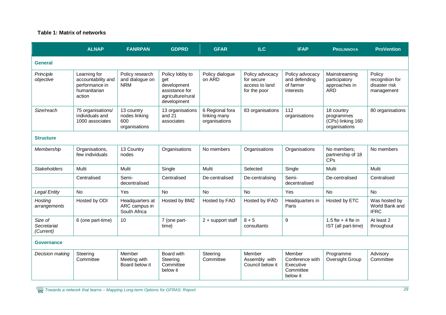#### **Table 1: Matrix of networks**

|                                     | <b>ALNAP</b>                                                                   | <b>FANRPAN</b>                                      | <b>GDPRD</b>                                                                                | <b>GFAR</b>                                      | <b>ILC</b>                                                      | <b>IFAP</b>                                                     | <b>PROLINNOVA</b>                                              | <b>ProVention</b>                                        |
|-------------------------------------|--------------------------------------------------------------------------------|-----------------------------------------------------|---------------------------------------------------------------------------------------------|--------------------------------------------------|-----------------------------------------------------------------|-----------------------------------------------------------------|----------------------------------------------------------------|----------------------------------------------------------|
| <b>General</b>                      |                                                                                |                                                     |                                                                                             |                                                  |                                                                 |                                                                 |                                                                |                                                          |
| Principle<br>objective              | Learning for<br>accountability and<br>performance in<br>humanitarian<br>action | Policy research<br>and dialogue on<br><b>NRM</b>    | Policy lobby to<br>get<br>development<br>assistance for<br>agriculture/rural<br>development | Policy dialogue<br>on ARD                        | Policy advocacy<br>for secure<br>access to land<br>for the poor | Policy advocacy<br>and defending<br>of farmer<br>interests      | Mainstreaming<br>participatory<br>approaches in<br><b>ARD</b>  | Policy<br>recognition for<br>disaster risk<br>management |
| Size/reach                          | 75 organisations/<br>individuals and<br>1000 associates                        | 13 country<br>nodes linking<br>600<br>organisations | 13 organisations<br>and $21$<br>associates                                                  | 6 Regional fora<br>linking many<br>organisations | 83 organisations                                                | 112<br>organisations                                            | 18 country<br>programmes<br>(CPs) linking 160<br>organisations | 80 organisations                                         |
| <b>Structure</b>                    |                                                                                |                                                     |                                                                                             |                                                  |                                                                 |                                                                 |                                                                |                                                          |
| Membership                          | Organisations,<br>few individuals                                              | 13 Country<br>nodes                                 | Organisations                                                                               | No members                                       | Organisations                                                   | Organisations                                                   | No members;<br>partnership of 18<br>CPs                        | No members                                               |
| <b>Stakeholders</b>                 | Multi                                                                          | Multi                                               | Single                                                                                      | Multi                                            | Selected                                                        | Single                                                          | Multi                                                          | Multi                                                    |
|                                     | Centralised                                                                    | Semi-<br>decentralised                              | Centralised                                                                                 | De-centralised                                   | De-centralising                                                 | Semi-<br>decentralised                                          | De-centralised                                                 | Centralised                                              |
| <b>Legal Entity</b>                 | No                                                                             | Yes                                                 | No                                                                                          | <b>No</b>                                        | No                                                              | Yes                                                             | No                                                             | No                                                       |
| Hosting<br>arrangements             | Hosted by ODI                                                                  | Headquarters at<br>ARC campus in<br>South Africa    | Hosted by BMZ                                                                               | Hosted by FAO                                    | Hosted by IFAD                                                  | Headquarters in<br>Paris                                        | Hosted by ETC                                                  | Was hosted by<br>World Bank and<br><b>IFRC</b>           |
| Size of<br>Secretariat<br>(Current) | 6 (one part-time)                                                              | 10                                                  | 7 (one part-<br>time)                                                                       | 2 + support staff                                | $8 + 5$<br>consultants                                          | 9                                                               | 1.5 fte $+$ 4 fte in<br>IST (all part-time)                    | At least 2<br>throughout                                 |
| Governance                          |                                                                                |                                                     |                                                                                             |                                                  |                                                                 |                                                                 |                                                                |                                                          |
| Decision making                     | Steering<br>Committee                                                          | Member<br>Meeting with<br>Board below it            | Board with<br>Steering<br>Committee<br>below it                                             | Steering<br>Committee                            | Member<br>Assembly with<br>Council below it                     | Member<br>Conference with<br>Executive<br>Committee<br>below it | Programme<br>Oversight Group                                   | Advisory<br>Committee                                    |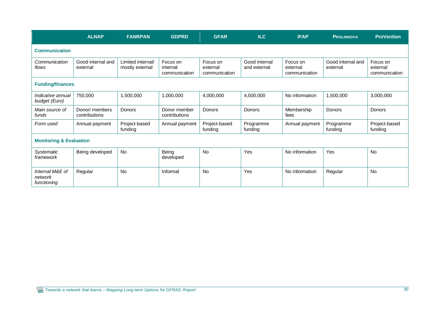|                                           | <b>ALNAP</b>                    | <b>FANRPAN</b>                       | <b>GDPRD</b>                          | <b>GFAR</b>                           | ILC                           | <b>IFAP</b>                           | <b>PROLINNOVA</b>             | <b>ProVention</b>                     |
|-------------------------------------------|---------------------------------|--------------------------------------|---------------------------------------|---------------------------------------|-------------------------------|---------------------------------------|-------------------------------|---------------------------------------|
| <b>Communication</b>                      |                                 |                                      |                                       |                                       |                               |                                       |                               |                                       |
| Communication<br>flows                    | Good internal and<br>external   | Limited internal/<br>mostly external | Focus on<br>internal<br>communication | Focus on<br>external<br>communication | Good internal<br>and external | Focus on<br>external<br>communication | Good internal and<br>external | Focus on<br>external<br>communication |
| <b>Funding/finances</b>                   |                                 |                                      |                                       |                                       |                               |                                       |                               |                                       |
| Indicative annual<br>budget (Euro)        | 750,000                         | 1,500,000                            | 1,000,000                             | 4,000,000                             | 4,500,000                     | No information                        | 1,500,000                     | 3,000,000                             |
| Main source of<br>funds                   | Donor/ members<br>contributions | Donors                               | Donor member<br>contributions         | Donors                                | Donors                        | Membership<br>fees                    | Donors                        | Donors                                |
| Form used                                 | Annual payment                  | Project-based<br>funding             | Annual payment                        | Project-based<br>funding              | Programme<br>funding          | Annual payment                        | Programme<br>funding          | Project-based<br>funding              |
| <b>Monitoring &amp; Evaluation</b>        |                                 |                                      |                                       |                                       |                               |                                       |                               |                                       |
| Systematic<br>framework                   | Being developed                 | <b>No</b>                            | Being<br>developed                    | No                                    | Yes                           | No information                        | Yes                           | <b>No</b>                             |
| Internal M&E of<br>network<br>functioning | Regular                         | <b>No</b>                            | Informal                              | <b>No</b>                             | Yes                           | No information                        | Regular                       | <b>No</b>                             |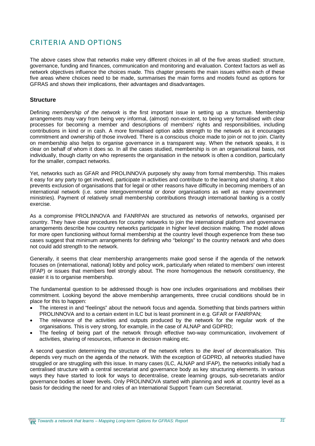## CRITERIA AND OPTIONS

The above cases show that networks make very different choices in all of the five areas studied: structure, governance, funding and finances, communication and monitoring and evaluation. Context factors as well as network objectives influence the choices made. This chapter presents the main issues within each of these five areas where choices need to be made, summarises the main forms and models found as options for GFRAS and shows their implications, their advantages and disadvantages.

#### **Structure**

Defining *membership of the network* is the first important issue in setting up a structure. Membership arrangements may vary from being very informal, (almost) non-existent, to being very formalised with clear processes for becoming a member and descriptions of members' rights and responsibilities, including contributions in kind or in cash. A more formalised option adds strength to the network as it encourages commitment and ownership of those involved. There is a conscious choice made to join or not to join. Clarity on membership also helps to organise governance in a transparent way. When the network speaks, it is clear on behalf of whom it does so. In all the cases studied, membership is on an organisational basis, not individually, though clarity on who represents the organisation in the network is often a condition, particularly for the smaller, compact networks.

Yet, networks such as GFAR and PROLINNOVA purposely shy away from formal membership. This makes it easy for any party to get involved, participate in activities and contribute to the learning and sharing. It also prevents exclusion of organisations that for legal or other reasons have difficulty in becoming members of an international network (i.e. some intergovernmental or donor organisations as well as many government ministries). Payment of relatively small membership contributions through international banking is a costly exercise.

As a compromise PROLINNOVA and FANRPAN are structured as networks of networks, organised per country. They have clear procedures for country networks to join the international platform and governance arrangements describe how country networks participate in higher level decision making. The model allows for more open functioning without formal membership at the country level though experience from these two cases suggest that minimum arrangements for defining who "belongs" to the country network and who does not could add strength to the network.

Generally, it seems that clear membership arrangements make good sense if the agenda of the network focuses on (international, national) lobby and policy work, particularly when related to members' own interest (IFAP) or issues that members feel strongly about. The more homogenous the network constituency, the easier it is to organise membership.

The fundamental question to be addressed though is how one includes organisations and mobilises their commitment. Looking beyond the above membership arrangements, three crucial conditions should be in place for this to happen:

- The interest in and "feelings" about the network focus and agenda. Something that binds partners within PROLINNOVA and to a certain extent in ILC but is least prominent in e.g. GFAR or FANRPAN;
- The relevance of the activities and outputs produced by the network for the regular work of the organisations. This is very strong, for example, in the case of ALNAP and GDPRD;
- The feeling of being part of the network through effective two-way communication, involvement of activities, sharing of resources, influence in decision making etc.

A second question determining the structure of the network refers to *the level of decentralisation*. This depends very much on the agenda of the network. With the exception of GDPRD, all networks studied have struggled or are struggling with this issue. In many cases (ILC, ALNAP and IFAP), the networks initially had a centralised structure with a central secretariat and governance body as key structuring elements. In various ways they have started to look for ways to decentralise, create learning groups, sub-secretariats and/or governance bodies at lower levels. Only PROLINNOVA started with planning and work at country level as a basis for deciding the need for and roles of an International Support Team cum Secretariat.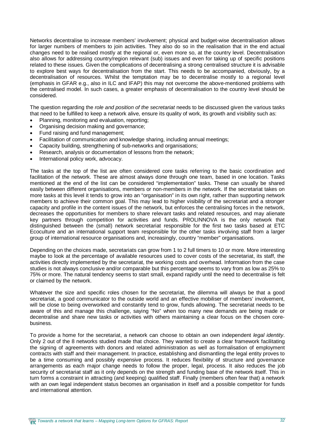Networks decentralise to increase members' involvement; physical and budget-wise decentralisation allows for larger numbers of members to join activities. They also do so in the realisation that in the end actual changes need to be realised mostly at the regional or, even more so, at the country level. Decentralisation also allows for addressing country/region relevant (sub) issues and even for taking up of specific positions related to these issues. Given the complications of decentralising a strong centralised structure it is advisable to explore best ways for decentralisation from the start. This needs to be accompanied, obviously, by a decentralisation of resources. Whilst the temptation may be to decentralise mostly to a regional level (emphasis in GFAR e.g., also in ILC and IFAP) this may not overcome the above-mentioned problems with the centralised model. In such cases, a greater emphasis of decentralisation to the country level should be considered.

The question regarding the *role and position of the secretariat* needs to be discussed given the various tasks that need to be fulfilled to keep a network alive, ensure its quality of work, its growth and visibility such as:

- Planning, monitoring and evaluation, reporting;
- Organising decision making and governance;
- Fund raising and fund management;
- Facilitation of communication and knowledge sharing, including annual meetings;
- Capacity building, strengthening of sub-networks and organisations;
- Research, analysis or documentation of lessons from the network;
- International policy work, advocacy.

The tasks at the top of the list are often considered core tasks referring to the basic coordination and facilitation of the network. These are almost always done through one team, based in one location. Tasks mentioned at the end of the list can be considered "implementation" tasks. These can usually be shared easily between different organisations, members or non-members in the network. If the secretariat takes on more tasks at this level it tends to grow into an "organisation" in its own right, rather than supporting network members to achieve their common goal. This may lead to higher visibility of the secretariat and a stronger capacity and profile in the content issues of the network, but enforces the centralising forces in the network, decreases the opportunities for members to share relevant tasks and related resources, and may alienate key partners through competition for activities and funds. PROLINNOVA is the only network that distinguished between the (small) network secretariat responsible for the first two tasks based at ETC Ecoculture and an international support team responsible for the other tasks involving staff from a larger group of international resource organisations and, increasingly, country "member" organisations.

Depending on the choices made, secretariats can grow from 1 to 2 full timers to 10 or more. More interesting maybe to look at the percentage of available resources used to cover costs of the secretariat, its staff, the activities directly implemented by the secretariat, the working costs and overhead. Information from the case studies is not always conclusive and/or comparable but this percentage seems to vary from as low as 25% to 75% or more. The natural tendency seems to start small, expand rapidly until the need to decentralise is felt or claimed by the network.

Whatever the size and specific roles chosen for the secretariat, the dilemma will always be that a good secretariat, a good communicator to the outside world and an effective mobiliser of members' involvement, will be close to being overworked and constantly tend to grow, funds allowing. The secretariat needs to be aware of this and manage this challenge, saying "No" when too many new demands are being made or decentralise and share new tasks or activities with others maintaining a clear focus on the chosen corebusiness.

To provide a home for the secretariat, a network can choose to obtain an own independent *legal identity*. Only 2 out of the 8 networks studied made that choice. They wanted to create a clear framework facilitating the signing of agreements with donors and related administration as well as formalisation of employment contracts with staff and their management. In practice, establishing and dismantling the legal entity proves to be a time consuming and possibly expensive process. It reduces flexibility of structure and governance arrangements as each major change needs to follow the proper, legal, process. It also reduces the job security of secretariat staff as it only depends on the strength and funding base of the network itself. This in turn forms a constraint in attracting (and keeping) qualified staff. Finally (members often fear that) a network with an own legal independent status becomes an organisation in itself and a possible competitor for funds and international attention.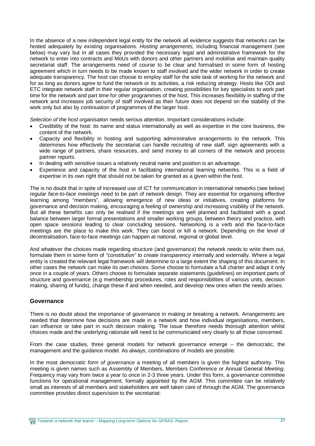In the absence of a new independent legal entity for the network all evidence suggests that networks can be hosted adequately by existing organisations. *Hosting arrangements,* including financial management (see below) may vary but in all cases they provided the necessary legal and administrative framework for the network to enter into contracts and MoUs with donors and other partners and mobilise and maintain quality secretariat staff. The arrangements need of course to be clear and formalised in some form of hosting agreement which in turn needs to be made known to staff involved and the wider network in order to create adequate transparency. The host can choose to employ staff for the sole task of working for the network and for as long as donors agree to fund the network or its activities, a risk reducing strategy. Hosts like ODI and ETC integrate network staff in their regular organisation, creating possibilities for key specialists to work part time for the network and part time for other programmes of the host. This increases flexibility in staffing of the network and increases job security of staff involved as their future does not depend on the stability of the work only but also by continuation of programmes of the larger host.

*Selection of the host organisation* needs serious attention. Important considerations include:

- x Credibility of the host: its name and status internationally as well as expertise in the core business, the content of the network.
- Capacity and flexibility in hosting and supporting administrative arrangements to the network. This determines how effectively the secretariat can handle recruiting of new staff, sign agreements with a wide range of partners, share resources, and send money to all corners of the network and process partner reports.
- In dealing with sensitive issues a relatively neutral name and position is an advantage.
- x Experience and capacity of the host in facilitating international learning networks. This is a field of expertise in its own right that should not be taken for granted as a given within the host.

The is no doubt that in spite of increased use of ICT for communication in international networks (see below) *regular face-to-face meetings* need to be part of network design. They are essential for organising effective learning among "members", allowing emergence of new ideas or initiatives, creating platforms for governance and decision making, encouraging a feeling of ownership and increasing visibility of the network. But all these benefits can only be realised if the meetings are well planned and facilitated with a good balance between larger formal presentations and smaller working groups, between theory and practice, with open space sessions leading to clear concluding sessions. Networking is a verb and the face-to-face meetings are the place to make this work. They can boost or kill a network. Depending on the level of decentralisation, face-to-face meetings can happen at national, regional or global level.

And whatever the choices made regarding structure (and governance) the network needs to write them out, formulate them in some form of *"constitution" to create transparency* internally and externally. Where a legal entity is created the relevant legal framework will determine to a large extent the shaping of this document. In other cases the network can make its own choices. Some choose to formulate a full charter and adapt it only once in a couple of years. Others choose to formulate separate statements (guidelines) on important parts of structure and governance (e.g membership procedures, roles and responsibilities of various units, decision making, sharing of funds), change these if and when needed, and develop new ones when the needs arises.

#### **Governance**

There is no doubt about the importance of governance in making or breaking a network. Arrangements are needed that determine how decisions are made in a network and how individual organisations, members, can influence or take part in such decision making. The issue therefore needs thorough attention whilst choices made and the underlying rationale will need to be communicated very clearly to all those concerned.

From the case studies, three general models for network governance emerge – the democratic, the management and the guidance model. As always, combinations of models are possible.

In the most *democratic form of governance* a meeting of all members is given the highest authority. This meeting is given names such as Assembly of Members, Members Conference or Annual General *Meeting*. Frequency may vary from twice a year to once in 2-3 three years. Under this form, a governance committee functions for operational management, formally appointed by the AGM. This committee can be relatively small as interests of all members and stakeholders are well taken care of through the AGM. The governance committee provides direct supervision to the secretariat: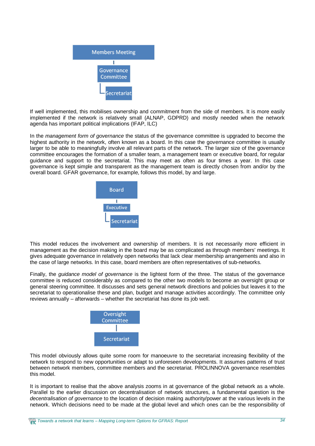

If well implemented, this mobilises ownership and commitment from the side of members. It is more easily implemented if the network is relatively small (ALNAP, GDPRD) and mostly needed when the network agenda has important political implications (IFAP, ILC)

In the *management form of governance* the status of the governance committee is upgraded to become the highest authority in the network, often known as a board. In this case the governance committee is usually larger to be able to meaningfully involve all relevant parts of the network. The larger size of the governance committee encourages the formation of a smaller team, a management team or executive board, for regular guidance and support to the secretariat. This may meet as often as four times a year. In this case governance is kept simple and transparent as the management team is directly chosen from and/or by the overall board. GFAR governance, for example, follows this model, by and large.



This model reduces the involvement and ownership of members. It is not necessarily more efficient in management as the decision making in the board may be as complicated as through members' meetings. It gives adequate governance in relatively open networks that lack clear membership arrangements and also in the case of large networks. In this case, board members are often representatives of sub-networks.

Finally, the *guidance model of governance* is the lightest form of the three. The status of the governance committee is reduced considerably as compared to the other two models to become an oversight group or general steering committee. It discusses and sets general network directions and policies but leaves it to the secretariat to operationalise these and plan, budget and manage activities accordingly. The committee only reviews annually – afterwards – whether the secretariat has done its job well.



This model obviously allows quite some room for manoeuvre to the secretariat increasing flexibility of the network to respond to new opportunities or adapt to unforeseen developments. It assumes patterns of trust between network members, committee members and the secretariat. PROLINNOVA governance resembles this model.

It is important to realise that the above analysis zooms in at governance of the global network as a whole. Parallel to the earlier discussion on decentralisation of network structures, a fundamental question is the *decentralisation of governance* to the location of decision making authority/power at the various levels in the network. Which decisions need to be made at the global level and which ones can be the responsibility of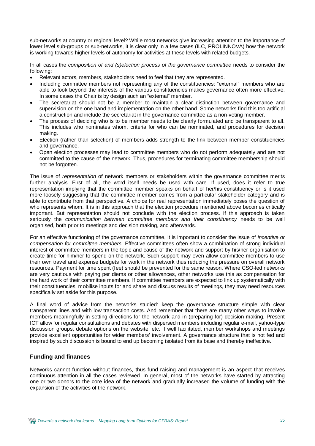sub-networks at country or regional level? While most networks give increasing attention to the importance of lower level sub-groups or sub-networks, it is clear only in a few cases (ILC, PROLINNOVA) how the network is working towards higher levels of autonomy for activities at these levels with related budgets.

In all cases the *composition of and (s)election process of the governance committee* needs to consider the following:

- x Relevant actors, members, stakeholders need to feel that they are represented.
- Including committee members not representing any of the constituencies; "external" members who are able to look beyond the interests of the various constituencies makes governance often more effective. In some cases the Chair is by design such an "external" member.
- The secretariat should not be a member to maintain a clear distinction between governance and supervision on the one hand and implementation on the other hand. Some networks find this too artificial a construction and include the secretariat in the governance committee as a non-voting member.
- The process of deciding who is to be member needs to be clearly formulated and be transparent to all. This includes who nominates whom, criteria for who can be nominated, and procedures for decision making.
- Election (rather than selection) of members adds strength to the link between member constituencies and governance.
- Open election processes may lead to committee members who do not perform adequately and are not committed to the cause of the network. Thus, procedures for terminating committee membership should not be forgotten.

The issue of *representation* of network members or stakeholders within the governance committee merits further analysis. First of all, the word itself needs be used with care. If used, does it refer to true representation implying that the committee member speaks on behalf of her/his constituency or is it used more loosely suggesting that the committee member comes from a particular stakeholder category and is able to contribute from that perspective. A choice for real representation immediately poses the question of who represents whom. It is in this approach that the election procedure mentioned above becomes critically important. But representation should not conclude with the election process. If this approach is taken seriously the *communication between committee members and their constituency* needs to be well organised, both prior to meetings and decision making, and afterwards.

For an effective functioning of the governance committee, it is important to consider the issue of *incentive or compensation for committee members*. Effective committees often show a combination of strong individual interest of committee members in the topic and cause of the network and support by his/her organisation to create time for him/her to spend on the network. Such support may even allow committee members to use their own travel and expense budgets for work in the network thus reducing the pressure on overall network resources. Payment for time spent (fee) should be prevented for the same reason. Where CSO-led networks are very cautious with paying per diems or other allowances, other networks use this as compensation for the hard work of their committee members. If committee members are expected to link up systematically with their constituencies, mobilise inputs for and share and discuss results of meetings, they may need resources specifically set aside for this purpose.

A final word of advice from the networks studied: keep the governance structure simple with clear transparent lines and with low transaction costs. And remember that there are many other ways to involve members meaningfully in setting directions for the network and in (preparing for) decision making. Present ICT allow for regular consultations and debates with dispersed members including regular e-mail, yahoo-type discussion groups, debate options on the website, etc. If well facilitated, member workshops and meetings provide excellent opportunities for wider members' involvement. A governance structure that is not fed and inspired by such discussion is bound to end up becoming isolated from its base and thereby ineffective.

#### **Funding and finances**

Networks cannot function without finances, thus fund raising and management is an aspect that receives continuous attention in all the cases reviewed. In general, most of the networks have started by attracting one or two donors to the core idea of the network and gradually increased the volume of funding with the expansion of the activities of the network.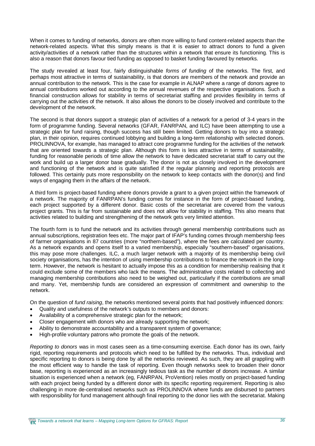When it comes to funding of networks, donors are often more willing to fund content-related aspects than the network-related aspects. What this simply means is that it is easier to attract donors to fund a given activity/activities of a network rather than the structures within a network that ensure its functioning. This is also a reason that donors favour tied funding as opposed to basket funding favoured by networks.

The study revealed at least four, fairly distinguishable *forms of funding* of the networks. The first, and perhaps most attractive in terms of sustainability, is that donors are members of the network and provide an annual contribution to the network. This is the case for example in ALNAP where a range of donors agree to annual contributions worked out according to the annual revenues of the respective organisations. Such a financial construction allows for stability in terms of secretariat staffing and provides flexibility in terms of carrying out the activities of the network. It also allows the donors to be closely involved and contribute to the development of the network.

The second is that donors support a strategic plan of activities of a network for a period of 3-4 years in the form of programme funding. Several networks (GFAR, FANRPAN, and ILC) have been attempting to use a strategic plan for fund raising, though success has still been limited. Getting donors to buy into a strategic plan, in their opinion, requires continued lobbying and building a long-term relationship with selected donors. PROLINNOVA, for example, has managed to attract core programme funding for the activities of the network that are oriented towards a strategic plan. Although this form is less attractive in terms of sustainability, funding for reasonable periods of time allow the network to have dedicated secretariat staff to carry out the work and build up a larger donor base gradually. The donor is not as closely involved in the development and functioning of the network and is quite satisfied if the regular planning and reporting protocols are followed. This certainly puts more responsibility on the network to keep contacts with the donor(s) and find ways of engaging them in the affairs of the network.

A third form is project-based funding where donors provide a grant to a given project within the framework of a network. The majority of FANRPAN's funding comes for instance in the form of project-based funding, each project supported by a different donor. Basic costs of the secretariat are covered from the various project grants. This is far from sustainable and does not allow for stability in staffing. This also means that activities related to building and strengthening of the network gets very limited attention.

The fourth form is to fund the network and its activities through general membership contributions such as annual subscriptions, registration fees etc. The major part of IFAP's funding comes through membership fees of farmer organisations in 87 countries (more "northern-based"), where the fees are calculated per country. As a network expands and opens itself to a varied membership, especially "southern-based" organisations, this may pose more challenges. ILC, a much larger network with a majority of its membership being civil society organisations, has the intention of using membership contributions to finance the network in the longterm. However, the network is hesitant to actually impose this as a condition for membership realising that it could exclude some of the members who lack the means. The administrative costs related to collecting and managing membership contributions also need to be weighed out, particularly if the contributions are small and many. Yet, membership funds are considered an expression of commitment and ownership to the network.

On the question of *fund raising*, the networks mentioned several points that had positively influenced donors:

- Quality and usefulness of the network's outputs to members and donors:
- Availability of a comprehensive strategic plan for the network;
- Closer engagement with donors who are already supporting the network;
- Ability to demonstrate accountability and a transparent system of governance:
- High-profile voluntary patrons who promote the goals of the network.

*Reporting to donors* was in most cases seen as a time-consuming exercise. Each donor has its own, fairly rigid, reporting requirements and protocols which need to be fulfilled by the networks. Thus, individual and specific reporting to donors is being done by all the networks reviewed. As such, they are all grappling with the most efficient way to handle the task of reporting. Even though networks seek to broaden their donor base, reporting is experienced as an increasingly tedious task as the number of donors increase. A similar situation is experienced when a network (eg, FANRPAN, ProVention) relies mostly on project-based funding with each project being funded by a different donor with its specific reporting requirement. Reporting is also challenging in more de-centralised networks such as PROLINNOVA where funds are disbursed to partners with responsibility for fund management although final reporting to the donor lies with the secretariat. Making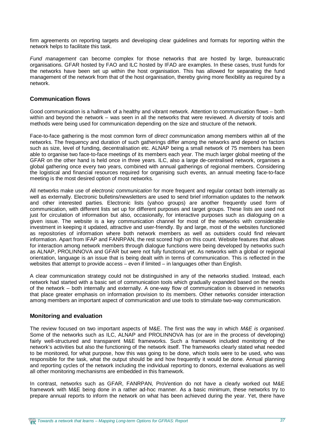firm agreements on reporting targets and developing clear guidelines and formats for reporting within the network helps to facilitate this task.

*Fund management* can become complex for those networks that are hosted by large, bureaucratic organisations. GFAR hosted by FAO and ILC hosted by IFAD are examples. In these cases, trust funds for the networks have been set up within the host organisation. This has allowed for separating the fund management of the network from that of the host organisation, thereby giving more flexibility as required by a network.

#### **Communication flows**

Good communication is a hallmark of a healthy and vibrant network. Attention to communication flows – both within and beyond the network – was seen in all the networks that were reviewed. A diversity of tools and methods were being used for communication depending on the size and structure of the network.

Face-to-face gathering is the most common form of *direct communication* among members within all of the networks. The frequency and duration of such gatherings differ among the networks and depend on factors such as size, level of funding, decentralisation etc. ALNAP being a small network of 75 members has been able to organise two face-to-face meetings of its members each year. The much larger global meeting of the GFAR on the other hand is held once in three years. ILC, also a large de-centralised network, organises a global gathering once every two years, combined with annual gatherings of regional members. Considering the logistical and financial resources required for organising such events, an annual meeting face-to-face meeting is the most desired option of most networks.

All networks make use of *electronic communication* for more frequent and regular contact both internally as well as externally. Electronic bulletins/newsletters are used to send brief information updates to the network and other interested parties. Electronic lists (yahoo groups) are another frequently used form of communication, with different lists set up for different purposes and target groups. These lists are used not just for circulation of information but also, occasionally, for interactive purposes such as dialoguing on a given issue. The website is a key communication channel for most of the networks with considerable investment in keeping it updated, attractive and user-friendly. By and large, most of the websites functioned as repositories of information where both network members as well as outsiders could find relevant information. Apart from IFAP and FANRPAN, the rest scored high on this count. Website features that allows for interaction among network members through dialogue functions were being developed by networks such as ALNAP, PROLINNOVA and GFAR but were not fully functional yet. As networks with a global or regional orientation, language is an issue that is being dealt with in terms of communication. This is reflected in the websites that attempt to provide access – even if limited – in languages other than English.

A clear communication strategy could not be distinguished in any of the networks studied. Instead, each network had started with a basic set of communication tools which gradually expanded based on the needs of the network – both internally and externally. A one-way flow of communication is observed in networks that place greater emphasis on information provision to its members. Other networks consider interaction among members an important aspect of communication and use tools to stimulate two-way communication.

#### **Monitoring and evaluation**

The review focused on two important aspects of M&E. The first was the way in which *M&E is organised*. Some of the networks such as ILC, ALNAP and PROLINNOVA has (or are in the process of developing) fairly well-structured and transparent M&E frameworks. Such a framework included monitoring of the network's activities but also the functioning of the network itself. The frameworks clearly stated what needed to be monitored, for what purpose, how this was going to be done, which tools were to be used, who was responsible for the task, what the output should be and how frequently it would be done. Annual planning and reporting cycles of the network including the individual reporting to donors, external evaluations as well all other monitoring mechanisms are embedded in this framework.

In contrast, networks such as GFAR, FANRPAN, ProVention do not have a clearly worked out M&E framework with M&E being done in a rather ad-hoc manner. As a basic minimum, these networks try to prepare annual reports to inform the network on what has been achieved during the year. Yet, there have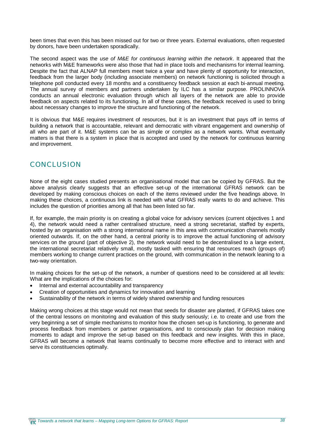been times that even this has been missed out for two or three years. External evaluations, often requested by donors, have been undertaken sporadically.

The second aspect was the *use of M&E for continuous learning within the network*. It appeared that the networks with M&E frameworks were also those that had in place tools and mechanisms for internal learning. Despite the fact that ALNAP full members meet twice a year and have plenty of opportunity for interaction, feedback from the larger body (including associate members) on network functioning is solicited through a telephone poll conducted every 18 months and a constituency feedback session at each bi-annual meeting. The annual survey of members and partners undertaken by ILC has a similar purpose. PROLINNOVA conducts an annual electronic evaluation through which all layers of the network are able to provide feedback on aspects related to its functioning. In all of these cases, the feedback received is used to bring about necessary changes to improve the structure and functioning of the network.

It is obvious that M&E requires investment of resources, but it is an investment that pays off in terms of building a network that is accountable, relevant and democratic with vibrant engagement and ownership of all who are part of it. M&E systems can be as simple or complex as a network wants. What eventually matters is that there is a system in place that is accepted and used by the network for continuous learning and improvement.

## **CONCLUSION**

None of the eight cases studied presents an organisational model that can be copied by GFRAS. But the above analysis clearly suggests that an effective set-up of the international GFRAS network can be developed by making conscious choices on each of the items reviewed under the five headings above. In making these choices, a continuous link is needed with what GFRAS really wants to do and achieve. This includes the question of priorities among all that has been listed so far.

If, for example, the main priority is on creating a global voice for advisory services (current objectives 1 and 4), the network would need a rather centralised structure, need a strong secretariat, staffed by experts, hosted by an organisation with a strong international name in this area with communication channels mostly oriented outwards. If, on the other hand, a central priority is to improve the actual functioning of advisory services on the ground (part of objective 2), the network would need to be decentralised to a large extent, the international secretariat relatively small, mostly tasked with ensuring that resources reach (groups of) members working to change current practices on the ground, with communication in the network leaning to a two-way orientation.

In making choices for the set-up of the network, a number of questions need to be considered at all levels: What are the implications of the choices for:

- Internal and external accountability and transparency
- Creation of opportunities and dynamics for innovation and learning
- Sustainability of the network in terms of widely shared ownership and funding resources

Making wrong choices at this stage would not mean that seeds for disaster are planted, if GFRAS takes one of the central lessons on monitoring and evaluation of this study seriously; i.e. to create and use from the very beginning a set of simple mechanisms to monitor how the chosen set-up is functioning, to generate and process feedback from members or partner organisations, and to consciously plan for decision making moments to adapt and improve the set-up based on this feedback and new insights. With this in place, GFRAS will become a network that learns continually to become more effective and to interact with and serve its constituencies optimally.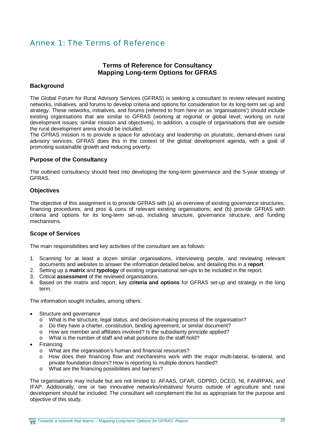## Annex 1: The Terms of Reference

### **Terms of Reference for Consultancy Mapping Long-term Options for GFRAS**

#### **Background**

The Global Forum for Rural Advisory Services (GFRAS) is seeking a consultant to review relevant existing networks, initiatives, and forums to develop criteria and options for consideration for its long-term set up and strategy. These networks, initiatives, and forums (referred to from here on as 'organisations') should include existing organisations that are similar to GFRAS (working at regional or global level; working on rural development issues; similar mission and objectives). In addition, a couple of organisations that are outside the rural development arena should be included.

The GFRAS mission is to provide a space for advocacy and leadership on pluralistic, demand-driven rural advisory services. GFRAS does this in the context of the global development agenda, with a goal of promoting sustainable growth and reducing poverty.

#### **Purpose of the Consultancy**

The outlined consultancy should feed into developing the long-term governance and the 5-year strategy of GFRAS.

#### **Objectives**

The objective of this assignment is to provide GFRAS with (a) an overview of existing governance structures, financing procedures, and pros & cons of relevant existing organisations; and (b) provide GFRAS with criteria and options for its long-term set-up, including structure, governance structure, and funding mechanisms.

#### **Scope of Services**

The main responsibilities and key activities of the consultant are as follows:

- 1. Scanning for at least a dozen similar organisations, interviewing people, and reviewing relevant documents and websites to answer the information detailed below, and detailing this in a **report**.
- 2. Setting up a **matrix** and **typology** of existing organisational set-ups to be included in the report.
- 3. Critical **assessment** of the reviewed organisations.
- 4. Based on the matrix and report, key **criteria and options** for GFRAS set-up and strategy in the long term.

The information sought includes, among others:

- Structure and governance
	- o What is the structure, legal status, and decision-making process of the organisation?
	- o Do they have a charter, constitution, binding agreement, or similar document?
	- o How are member and affiliates involved? Is the subsidiarity principle applied?
	- o What is the number of staff and what positions do the staff hold?
- Financing
	- o What are the organisation's human and financial resources?
	- o How does their financing flow and mechanisms work with the major multi-lateral, bi-lateral, and private foundation donors? How is reporting to multiple donors handled?
	- o What are the financing possibilities and barriers?

The organisations may include but are not limited to: AFAAS, GFAR, GDPRD, DCED, NI, FANRPAN, and IFAP. Additionally, one or two innovative networks/initiatives/ forums outside of agriculture and rural development should be included. The consultant will complement the list as appropriate for the purpose and objective of this study.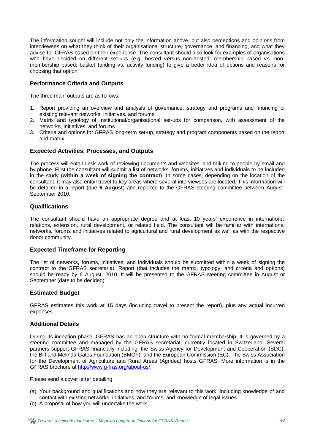The information sought will include not only the information above, but also perceptions and opinions from interviewees on what they think of their organisational structure, governance, and financing, and what they advise for GFRAS based on their experience. The consultant should also look for examples of organisations who have decided on different set-ups (e.g. hosted versus non-hosted; membership based vs. nonmembership based; basket funding vs. activity funding) to give a better idea of options and reasons for choosing that option.

#### **Performance Criteria and Outputs**

The three main outputs are as follows:

- 1. Report providing an overview and analysis of governance, strategy and programs and financing of existing relevant networks, initiatives, and forums
- 2. Matrix and typology of institutional/organisational set-ups for comparison, with assessment of the networks, initiatives, and forums
- 3. Criteria and options for GFRAS long-term set-up, strategy and program components based on the report and matrix

#### **Expected Activities, Processes, and Outputs**

The process will entail desk work of reviewing documents and websites, and talking to people by email and by phone. First the consultant will submit a list of networks, forums, initiatives and individuals to be included in the study (**within a week of signing the contract**). In some cases, depending on the location of the consultant, it may also entail travel to key areas where several interviewees are located. This information will be detailed in a report (due **6 August**) and reported to the GFRAS steering committee between August-September 2010.

#### **Qualifications**

The consultant should have an appropriate degree and at least 10 years' experience in international relations, extension, rural development, or related field. The consultant will be familiar with international networks, forums and initiatives related to agricultural and rural development as well as with the respective donor community.

#### **Expected Timeframe for Reporting**

The list of networks, forums, initiatives, and individuals should be submitted within a week of signing the contract to the GFRAS secretariat**.** Report (that includes the matrix, typology, and criteria and options) should be ready by 6 August, 2010. It will be presented to the GFRAS steering committee in August or September (date to be decided).

#### **Estimated Budget**

GFRAS estimates this work at 15 days (including travel to present the report), plus any actual incurred expenses.

#### **Additional Details**

During its inception phase, GFRAS has an open structure with no formal membership. It is governed by a steering committee and managed by the GFRAS secretariat, currently located in Switzerland. Several partners support GFRAS financially including: the Swiss Agency for Development and Cooperation (SDC), the Bill and Melinda Gates Foundation (BMGF), and the European Commission (EC). The Swiss Association for the Development of Agriculture and Rural Areas (Agridea) hosts GFRAS. More information is in the GFRAS brochure at <http://www.g-fras.org/about-us/.>

Please send a cover letter detailing

- (a) Your background and qualifications and how they are relevant to this work, including knowledge of and contact with existing networks, initiatives, and forums; and knowledge of legal issues
- (b) A proposal of how you will undertake the work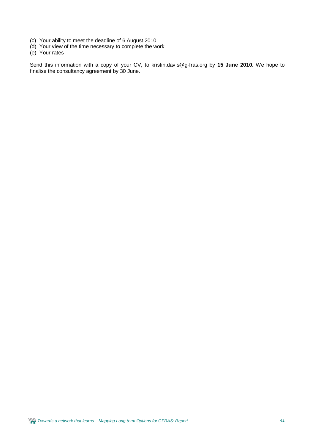- (c) Your ability to meet the deadline of 6 August 2010
- (d) Your view of the time necessary to complete the work
- (e) Your rates

Send this information with a copy of your CV, to [kristin.davis@g-fras.org](mailto:kristin.davis@g-fras.org) by **15 June 2010.** We hope to finalise the consultancy agreement by 30 June.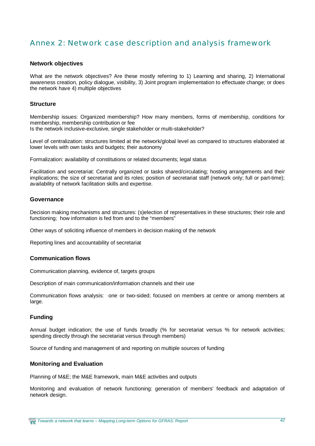## Annex 2: Network case description and analysis framework

#### **Network objectives**

What are the network objectives? Are these mostly referring to 1) Learning and sharing, 2) International awareness creation, policy dialogue, visibility, 3) Joint program implementation to effectuate change; or does the network have 4) multiple objectives

#### **Structure**

Membership issues: Organized membership? How many members, forms of membership, conditions for membership, membership contribution or fee Is the network inclusive-exclusive, single stakeholder or multi-stakeholder?

Level of centralization: structures limited at the network/global level as compared to structures elaborated at lower levels with own tasks and budgets; their autonomy

Formalization: availability of constitutions or related documents; legal status

Facilitation and secretariat: Centrally organized or tasks shared/circulating; hosting arrangements and their implications; the size of secretariat and its roles; position of secretariat staff (network only; full or part-time); availability of network facilitation skills and expertise.

#### **Governance**

Decision making mechanisms and structures: (s)election of representatives in these structures; their role and functioning; how information is fed from and to the "members"

Other ways of soliciting influence of members in decision making of the network

Reporting lines and accountability of secretariat

#### **Communication flows**

Communication planning, evidence of, targets groups

Description of main communication/information channels and their use

Communication flows analysis: one or two-sided; focused on members at centre or among members at large.

#### **Funding**

Annual budget indication; the use of funds broadly (% for secretariat versus % for network activities; spending directly through the secretariat versus through members)

Source of funding and management of and reporting on multiple sources of funding

#### **Monitoring and Evaluation**

Planning of M&E; the M&E framework, main M&E activities and outputs

Monitoring and evaluation of network functioning: generation of members' feedback and adaptation of network design.